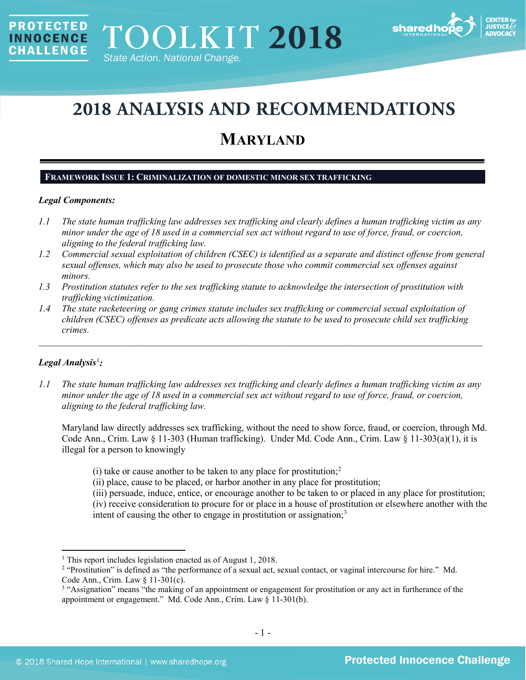

# **2018 ANALYSIS AND RECOMMENDATIONS**

# **MARYLAND**

# **FRAMEWORK ISSUE 1: CRIMINALIZATION OF DOMESTIC MINOR SEX TRAFFICKING**

# *Legal Components:*

**PROTECTED** 

**INNOCENCE CHALLENGE** 

- *1.1 The state human trafficking law addresses sex trafficking and clearly defines a human trafficking victim as any minor under the age of 18 used in a commercial sex act without regard to use of force, fraud, or coercion, aligning to the federal trafficking law.*
- *1.2 Commercial sexual exploitation of children (CSEC) is identified as a separate and distinct offense from general sexual offenses, which may also be used to prosecute those who commit commercial sex offenses against minors.*
- *1.3 Prostitution statutes refer to the sex trafficking statute to acknowledge the intersection of prostitution with trafficking victimization.*
- *1.4 The state racketeering or gang crimes statute includes sex trafficking or commercial sexual exploitation of children (CSEC) offenses as predicate acts allowing the statute to be used to prosecute child sex trafficking crimes.*

\_\_\_\_\_\_\_\_\_\_\_\_\_\_\_\_\_\_\_\_\_\_\_\_\_\_\_\_\_\_\_\_\_\_\_\_\_\_\_\_\_\_\_\_\_\_\_\_\_\_\_\_\_\_\_\_\_\_\_\_\_\_\_\_\_\_\_\_\_\_\_\_\_\_\_\_\_\_\_\_\_\_\_\_\_\_\_\_\_\_\_\_\_\_

# *Legal Analysis*[1](#page-0-0) *:*

 $\overline{\phantom{a}}$ 

*1.1 The state human trafficking law addresses sex trafficking and clearly defines a human trafficking victim as any minor under the age of 18 used in a commercial sex act without regard to use of force, fraud, or coercion, aligning to the federal trafficking law.*

Maryland law directly addresses sex trafficking, without the need to show force, fraud, or coercion, through Md. Code Ann., Crim. Law § 11-303 (Human trafficking). Under Md. Code Ann., Crim. Law § 11-303(a)(1), it is illegal for a person to knowingly

- (i) take or cause another to be taken to any place for prostitution;<sup>[2](#page-0-1)</sup>
- (ii) place, cause to be placed, or harbor another in any place for prostitution;
- <span id="page-0-3"></span>(iii) persuade, induce, entice, or encourage another to be taken to or placed in any place for prostitution; (iv) receive consideration to procure for or place in a house of prostitution or elsewhere another with the intent of causing the other to engage in prostitution or assignation; $3$

<span id="page-0-0"></span><sup>1</sup> This report includes legislation enacted as of August 1, 2018.

<span id="page-0-1"></span><sup>&</sup>lt;sup>2</sup> "Prostitution" is defined as "the performance of a sexual act, sexual contact, or vaginal intercourse for hire." Md. Code Ann., Crim. Law § 11-301(c).

<span id="page-0-2"></span><sup>&</sup>lt;sup>3</sup> "Assignation" means "the making of an appointment or engagement for prostitution or any act in furtherance of the appointment or engagement." Md. Code Ann., Crim. Law § 11-301(b).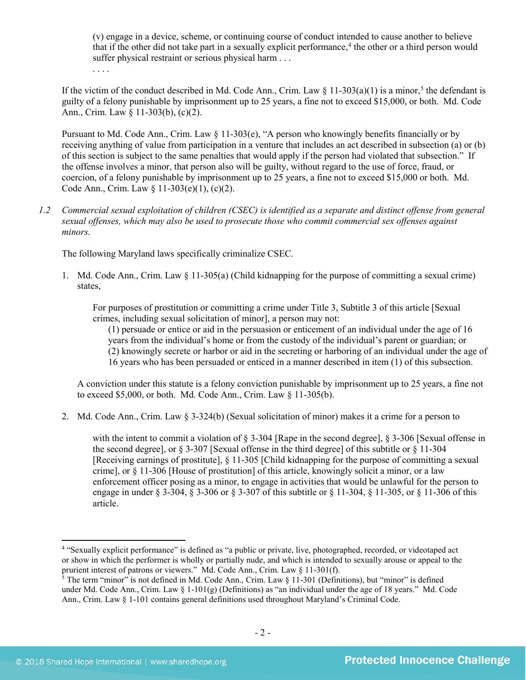(v) engage in a device, scheme, or continuing course of conduct intended to cause another to believe that if the other did not take part in a sexually explicit performance,<sup>[4](#page-1-0)</sup> the other or a third person would suffer physical restraint or serious physical harm . . .

<span id="page-1-2"></span>. . . .

If the victim of the conduct described in Md. Code Ann., Crim. Law  $\S$  11-303(a)(1) is a minor,<sup>[5](#page-1-1)</sup> the defendant is guilty of a felony punishable by imprisonment up to 25 years, a fine not to exceed \$15,000, or both. Md. Code Ann., Crim. Law § 11-303(b), (c)(2).

Pursuant to Md. Code Ann., Crim. Law § 11-303(e), "A person who knowingly benefits financially or by receiving anything of value from participation in a venture that includes an act described in subsection (a) or (b) of this section is subject to the same penalties that would apply if the person had violated that subsection." If the offense involves a minor, that person also will be guilty, without regard to the use of force, fraud, or coercion, of a felony punishable by imprisonment up to 25 years, a fine not to exceed \$15,000 or both. Md. Code Ann., Crim. Law § 11-303(e)(1), (c)(2).

*1.2 Commercial sexual exploitation of children (CSEC) is identified as a separate and distinct offense from general sexual offenses, which may also be used to prosecute those who commit commercial sex offenses against minors.*

The following Maryland laws specifically criminalize CSEC.

1. Md. Code Ann., Crim. Law § 11-305(a) (Child kidnapping for the purpose of committing a sexual crime) states,

For purposes of prostitution or committing a crime under Title 3, Subtitle 3 of this article [Sexual crimes, including sexual solicitation of minor], a person may not:

(1) persuade or entice or aid in the persuasion or enticement of an individual under the age of 16 years from the individual's home or from the custody of the individual's parent or guardian; or (2) knowingly secrete or harbor or aid in the secreting or harboring of an individual under the age of 16 years who has been persuaded or enticed in a manner described in item (1) of this subsection.

A conviction under this statute is a felony conviction punishable by imprisonment up to 25 years, a fine not to exceed \$5,000, or both. Md. Code Ann., Crim. Law § 11-305(b).

2. Md. Code Ann., Crim. Law § 3-324(b) (Sexual solicitation of minor) makes it a crime for a person to

with the intent to commit a violation of § 3-304 [Rape in the second degree], § 3-306 [Sexual offense in the second degree], or § 3-307 [Sexual offense in the third degree] of this subtitle or § 11-304 [Receiving earnings of prostitute], § 11-305 [Child kidnapping for the purpose of committing a sexual crime], or § 11-306 [House of prostitution] of this article, knowingly solicit a minor, or a law enforcement officer posing as a minor, to engage in activities that would be unlawful for the person to engage in under § 3-304, § 3-306 or § 3-307 of this subtitle or § 11-304, § 11-305, or § 11-306 of this article.

<span id="page-1-0"></span><sup>&</sup>lt;sup>4</sup> "Sexually explicit performance" is defined as "a public or private, live, photographed, recorded, or videotaped act or show in which the performer is wholly or partially nude, and which is intended to sexually arouse or appeal to the prurient interest of patrons or viewers." Md. Code Ann., Crim. Law § 11-301(f).

<span id="page-1-1"></span> $\frac{5}{3}$  The term "minor" is not defined in Md. Code Ann., Crim. Law § 11-301 (Definitions), but "minor" is defined under Md. Code Ann., Crim. Law § 1-101(g) (Definitions) as "an individual under the age of 18 years." Md. Code Ann., Crim. Law § 1-101 contains general definitions used throughout Maryland's Criminal Code.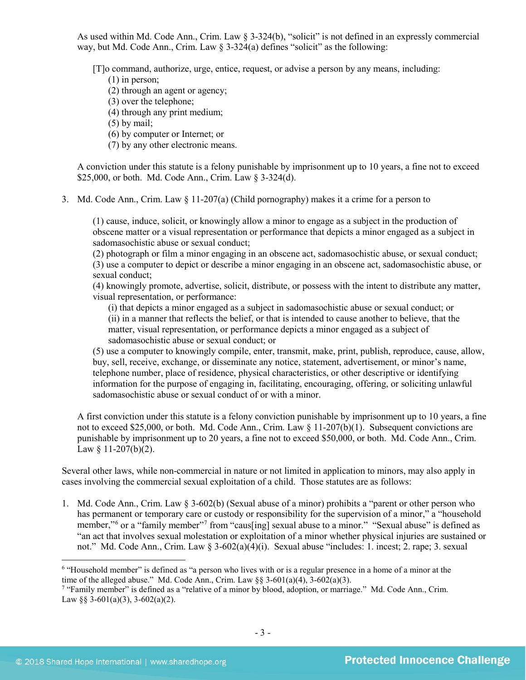As used within Md. Code Ann., Crim. Law  $\S 3-324(b)$ , "solicit" is not defined in an expressly commercial way, but Md. Code Ann., Crim. Law § 3-324(a) defines "solicit" as the following:

[T]o command, authorize, urge, entice, request, or advise a person by any means, including:

(1) in person;

(2) through an agent or agency;

- (3) over the telephone;
- (4) through any print medium;

(5) by mail;

- (6) by computer or Internet; or
- (7) by any other electronic means.

A conviction under this statute is a felony punishable by imprisonment up to 10 years, a fine not to exceed \$25,000, or both. Md. Code Ann., Crim. Law § 3-324(d).

3. Md. Code Ann., Crim. Law § 11-207(a) (Child pornography) makes it a crime for a person to

(1) cause, induce, solicit, or knowingly allow a minor to engage as a subject in the production of obscene matter or a visual representation or performance that depicts a minor engaged as a subject in sadomasochistic abuse or sexual conduct;

(2) photograph or film a minor engaging in an obscene act, sadomasochistic abuse, or sexual conduct; (3) use a computer to depict or describe a minor engaging in an obscene act, sadomasochistic abuse, or sexual conduct;

(4) knowingly promote, advertise, solicit, distribute, or possess with the intent to distribute any matter, visual representation, or performance:

(i) that depicts a minor engaged as a subject in sadomasochistic abuse or sexual conduct; or (ii) in a manner that reflects the belief, or that is intended to cause another to believe, that the matter, visual representation, or performance depicts a minor engaged as a subject of sadomasochistic abuse or sexual conduct; or

(5) use a computer to knowingly compile, enter, transmit, make, print, publish, reproduce, cause, allow, buy, sell, receive, exchange, or disseminate any notice, statement, advertisement, or minor's name, telephone number, place of residence, physical characteristics, or other descriptive or identifying information for the purpose of engaging in, facilitating, encouraging, offering, or soliciting unlawful sadomasochistic abuse or sexual conduct of or with a minor.

A first conviction under this statute is a felony conviction punishable by imprisonment up to 10 years, a fine not to exceed \$25,000, or both. Md. Code Ann., Crim. Law § 11-207(b)(1). Subsequent convictions are punishable by imprisonment up to 20 years, a fine not to exceed \$50,000, or both. Md. Code Ann., Crim. Law  $§$  11-207(b)(2).

Several other laws, while non-commercial in nature or not limited in application to minors, may also apply in cases involving the commercial sexual exploitation of a child. Those statutes are as follows:

1. Md. Code Ann., Crim. Law § 3-602(b) (Sexual abuse of a minor) prohibits a "parent or other person who has permanent or temporary care or custody or responsibility for the supervision of a minor," a "household member,"<sup>[6](#page-2-0)</sup> or a "family member"<sup>[7](#page-2-1)</sup> from "caus[ing] sexual abuse to a minor." "Sexual abuse" is defined as "an act that involves sexual molestation or exploitation of a minor whether physical injuries are sustained or not." Md. Code Ann., Crim. Law § 3-602(a)(4)(i). Sexual abuse "includes: 1. incest; 2. rape; 3. sexual

<span id="page-2-0"></span><sup>6</sup> "Household member" is defined as "a person who lives with or is a regular presence in a home of a minor at the time of the alleged abuse." Md. Code Ann., Crim. Law  $\S$  3-601(a)(4), 3-602(a)(3).

<span id="page-2-1"></span><sup>7</sup> "Family member" is defined as a "relative of a minor by blood, adoption, or marriage." Md. Code Ann., Crim. Law §§ 3-601(a)(3), 3-602(a)(2).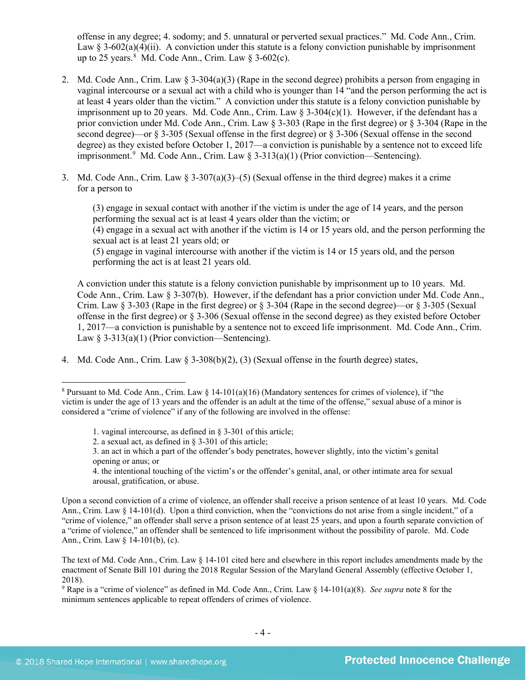<span id="page-3-0"></span>offense in any degree; 4. sodomy; and 5. unnatural or perverted sexual practices." Md. Code Ann., Crim. Law § 3-602(a)(4)(ii). A conviction under this statute is a felony conviction punishable by imprisonment up to 25 years. $8 \text{ Md}$  $8 \text{ Md}$ . Code Ann., Crim. Law  $\S 3{\text -}602(c)$ .

- 2. Md. Code Ann., Crim. Law § 3-304(a)(3) (Rape in the second degree) prohibits a person from engaging in vaginal intercourse or a sexual act with a child who is younger than 14 "and the person performing the act is at least 4 years older than the victim." A conviction under this statute is a felony conviction punishable by imprisonment up to 20 years. Md. Code Ann., Crim. Law § 3-304(c)(1). However, if the defendant has a prior conviction under Md. Code Ann., Crim. Law § 3-303 (Rape in the first degree) or § 3-304 (Rape in the second degree)—or § 3-305 (Sexual offense in the first degree) or § 3-306 (Sexual offense in the second degree) as they existed before October 1, 2017—a conviction is punishable by a sentence not to exceed life imprisonment.<sup>[9](#page-3-2)</sup> Md. Code Ann., Crim. Law § 3-313(a)(1) (Prior conviction—Sentencing).
- 3. Md. Code Ann., Crim. Law  $\S$  3-307(a)(3)–(5) (Sexual offense in the third degree) makes it a crime for a person to

(3) engage in sexual contact with another if the victim is under the age of 14 years, and the person performing the sexual act is at least 4 years older than the victim; or

(4) engage in a sexual act with another if the victim is 14 or 15 years old, and the person performing the sexual act is at least 21 years old; or

(5) engage in vaginal intercourse with another if the victim is 14 or 15 years old, and the person performing the act is at least 21 years old.

A conviction under this statute is a felony conviction punishable by imprisonment up to 10 years. Md. Code Ann., Crim. Law § 3-307(b). However, if the defendant has a prior conviction under Md. Code Ann., Crim. Law  $\S$  3-303 (Rape in the first degree) or  $\S$  3-304 (Rape in the second degree)—or  $\S$  3-305 (Sexual offense in the first degree) or § 3-306 (Sexual offense in the second degree) as they existed before October 1, 2017—a conviction is punishable by a sentence not to exceed life imprisonment. Md. Code Ann., Crim. Law  $\S 3-313(a)(1)$  (Prior conviction—Sentencing).

4. Md. Code Ann., Crim. Law § 3-308(b)(2), (3) (Sexual offense in the fourth degree) states,

- 1. vaginal intercourse, as defined in § 3-301 of this article;
- 2. a sexual act, as defined in § 3-301 of this article;
- 3. an act in which a part of the offender's body penetrates, however slightly, into the victim's genital opening or anus; or

4. the intentional touching of the victim's or the offender's genital, anal, or other intimate area for sexual arousal, gratification, or abuse.

Upon a second conviction of a crime of violence, an offender shall receive a prison sentence of at least 10 years. Md. Code Ann., Crim. Law § 14-101(d). Upon a third conviction, when the "convictions do not arise from a single incident," of a "crime of violence," an offender shall serve a prison sentence of at least 25 years, and upon a fourth separate conviction of a "crime of violence," an offender shall be sentenced to life imprisonment without the possibility of parole. Md. Code Ann., Crim. Law § 14-101(b), (c).

The text of Md. Code Ann., Crim. Law § 14-101 cited here and elsewhere in this report includes amendments made by the enactment of Senate Bill 101 during the 2018 Regular Session of the Maryland General Assembly (effective October 1, 2018).

<span id="page-3-2"></span><sup>9</sup> Rape is a "crime of violence" as defined in Md. Code Ann., Crim. Law § 14-101(a)(8). *See supra* note [8](#page-3-0) for the minimum sentences applicable to repeat offenders of crimes of violence.

<span id="page-3-1"></span><sup>&</sup>lt;sup>8</sup> Pursuant to Md. Code Ann., Crim. Law  $\S$  14-101(a)(16) (Mandatory sentences for crimes of violence), if "the victim is under the age of 13 years and the offender is an adult at the time of the offense," sexual abuse of a minor is considered a "crime of violence" if any of the following are involved in the offense: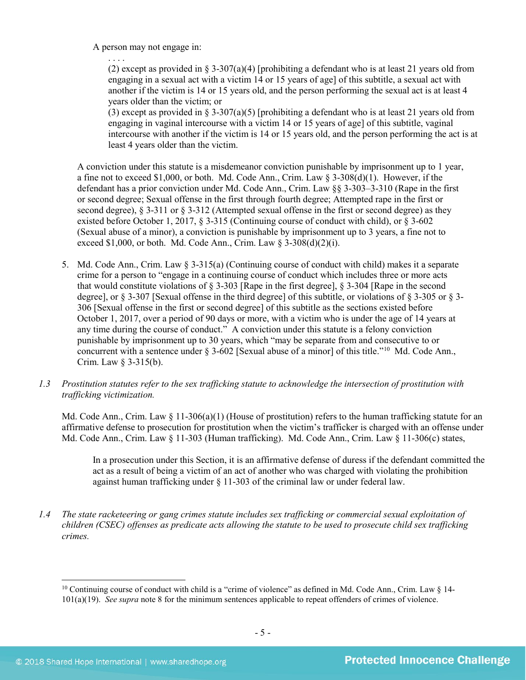A person may not engage in:

. . . . (2) except as provided in § 3-307(a)(4) [prohibiting a defendant who is at least 21 years old from engaging in a sexual act with a victim 14 or 15 years of age] of this subtitle, a sexual act with another if the victim is 14 or 15 years old, and the person performing the sexual act is at least 4 years older than the victim; or

(3) except as provided in § 3-307(a)(5) [prohibiting a defendant who is at least 21 years old from engaging in vaginal intercourse with a victim 14 or 15 years of age] of this subtitle, vaginal intercourse with another if the victim is 14 or 15 years old, and the person performing the act is at least 4 years older than the victim.

A conviction under this statute is a misdemeanor conviction punishable by imprisonment up to 1 year, a fine not to exceed \$1,000, or both. Md. Code Ann., Crim. Law  $\S 3-308(d)(1)$ . However, if the defendant has a prior conviction under Md. Code Ann., Crim. Law §§ 3-303–3-310 (Rape in the first or second degree; Sexual offense in the first through fourth degree; Attempted rape in the first or second degree),  $\S 3-311$  or  $\S 3-312$  (Attempted sexual offense in the first or second degree) as they existed before October 1, 2017, § 3-315 (Continuing course of conduct with child), or § 3-602 (Sexual abuse of a minor), a conviction is punishable by imprisonment up to 3 years, a fine not to exceed  $$1,000$ , or both. Md. Code Ann., Crim. Law  $§$  3-308(d)(2)(i).

- 5. Md. Code Ann., Crim. Law § 3-315(a) (Continuing course of conduct with child) makes it a separate crime for a person to "engage in a continuing course of conduct which includes three or more acts that would constitute violations of § 3-303 [Rape in the first degree], § 3-304 [Rape in the second degree], or § 3-307 [Sexual offense in the third degree] of this subtitle, or violations of § 3-305 or § 3- 306 [Sexual offense in the first or second degree] of this subtitle as the sections existed before October 1, 2017, over a period of 90 days or more, with a victim who is under the age of 14 years at any time during the course of conduct." A conviction under this statute is a felony conviction punishable by imprisonment up to 30 years, which "may be separate from and consecutive to or concurrent with a sentence under  $\S$  3-602 [Sexual abuse of a minor] of this title."<sup>10</sup> Md. Code Ann., Crim. Law § 3-315(b).
- *1.3 Prostitution statutes refer to the sex trafficking statute to acknowledge the intersection of prostitution with trafficking victimization.*

Md. Code Ann., Crim. Law  $\S 11-306(a)(1)$  (House of prostitution) refers to the human trafficking statute for an affirmative defense to prosecution for prostitution when the victim's trafficker is charged with an offense under Md. Code Ann., Crim. Law § 11-303 (Human trafficking). Md. Code Ann., Crim. Law § 11-306(c) states,

In a prosecution under this Section, it is an affirmative defense of duress if the defendant committed the act as a result of being a victim of an act of another who was charged with violating the prohibition against human trafficking under § 11-303 of the criminal law or under federal law.

*1.4 The state racketeering or gang crimes statute includes sex trafficking or commercial sexual exploitation of children (CSEC) offenses as predicate acts allowing the statute to be used to prosecute child sex trafficking crimes.* 

<span id="page-4-0"></span><sup>&</sup>lt;sup>10</sup> Continuing course of conduct with child is a "crime of violence" as defined in Md. Code Ann., Crim. Law  $\S$  14-101(a)(19). *See supra* not[e 8](#page-3-0) for the minimum sentences applicable to repeat offenders of crimes of violence.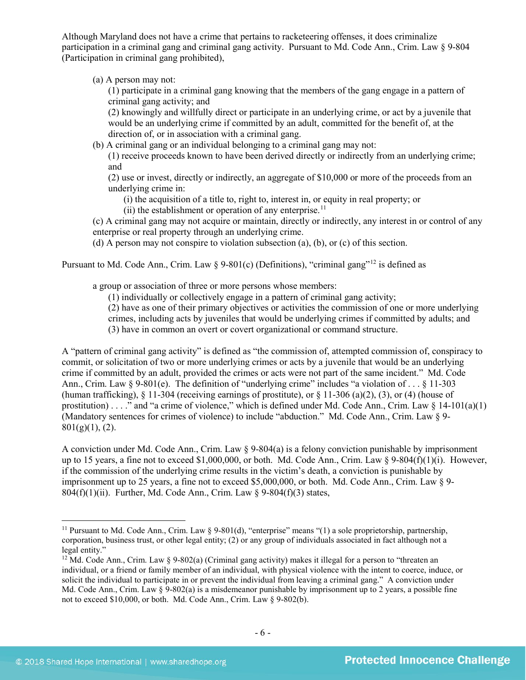Although Maryland does not have a crime that pertains to racketeering offenses, it does criminalize participation in a criminal gang and criminal gang activity. Pursuant to Md. Code Ann., Crim. Law § 9-804 (Participation in criminal gang prohibited),

(a) A person may not:

(1) participate in a criminal gang knowing that the members of the gang engage in a pattern of criminal gang activity; and

(2) knowingly and willfully direct or participate in an underlying crime, or act by a juvenile that would be an underlying crime if committed by an adult, committed for the benefit of, at the direction of, or in association with a criminal gang.

(b) A criminal gang or an individual belonging to a criminal gang may not:

(1) receive proceeds known to have been derived directly or indirectly from an underlying crime; and

(2) use or invest, directly or indirectly, an aggregate of \$10,000 or more of the proceeds from an underlying crime in:

(i) the acquisition of a title to, right to, interest in, or equity in real property; or

(ii) the establishment or operation of any enterprise.<sup>[11](#page-5-0)</sup>

(c) A criminal gang may not acquire or maintain, directly or indirectly, any interest in or control of any enterprise or real property through an underlying crime.

(d) A person may not conspire to violation subsection (a), (b), or (c) of this section.

Pursuant to Md. Code Ann., Crim. Law § 9-801(c) (Definitions), "criminal gang"<sup>[12](#page-5-1)</sup> is defined as

a group or association of three or more persons whose members:

(1) individually or collectively engage in a pattern of criminal gang activity;

(2) have as one of their primary objectives or activities the commission of one or more underlying crimes, including acts by juveniles that would be underlying crimes if committed by adults; and

(3) have in common an overt or covert organizational or command structure.

A "pattern of criminal gang activity" is defined as "the commission of, attempted commission of, conspiracy to commit, or solicitation of two or more underlying crimes or acts by a juvenile that would be an underlying crime if committed by an adult, provided the crimes or acts were not part of the same incident." Md. Code Ann., Crim. Law § 9-801(e). The definition of "underlying crime" includes "a violation of . . . § 11-303 (human trafficking), § 11-304 (receiving earnings of prostitute), or § 11-306 (a)(2), (3), or (4) (house of prostitution) . . . ." and "a crime of violence," which is defined under Md. Code Ann., Crim. Law  $\S$  14-101(a)(1) (Mandatory sentences for crimes of violence) to include "abduction." Md. Code Ann., Crim. Law § 9-  $801(g)(1)$ , (2).

A conviction under Md. Code Ann., Crim. Law § 9-804(a) is a felony conviction punishable by imprisonment up to 15 years, a fine not to exceed \$1,000,000, or both. Md. Code Ann., Crim. Law § 9-804(f)(1)(i). However, if the commission of the underlying crime results in the victim's death, a conviction is punishable by imprisonment up to 25 years, a fine not to exceed \$5,000,000, or both. Md. Code Ann., Crim. Law § 9-  $804(f)(1)(ii)$ . Further, Md. Code Ann., Crim. Law § 9-804(f)(3) states,

<span id="page-5-0"></span> $\overline{\phantom{a}}$ <sup>11</sup> Pursuant to Md. Code Ann., Crim. Law § 9-801(d), "enterprise" means "(1) a sole proprietorship, partnership, corporation, business trust, or other legal entity; (2) or any group of individuals associated in fact although not a legal entity."

<span id="page-5-1"></span><sup>&</sup>lt;sup>12</sup> Md. Code Ann., Crim. Law  $\frac{12}{9}$  (Septemberg) (Criminal gang activity) makes it illegal for a person to "threaten an individual, or a friend or family member of an individual, with physical violence with the intent to coerce, induce, or solicit the individual to participate in or prevent the individual from leaving a criminal gang." A conviction under Md. Code Ann., Crim. Law  $\S 9-802(a)$  is a misdemeanor punishable by imprisonment up to 2 years, a possible fine not to exceed \$10,000, or both. Md. Code Ann., Crim. Law § 9-802(b).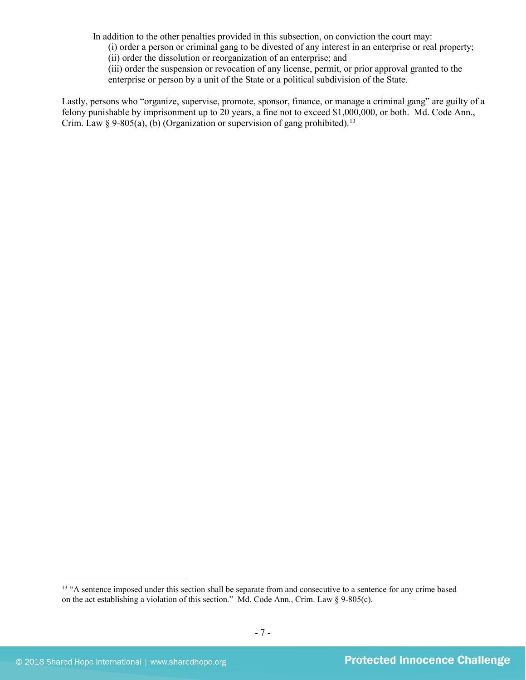In addition to the other penalties provided in this subsection, on conviction the court may:

(i) order a person or criminal gang to be divested of any interest in an enterprise or real property;

(ii) order the dissolution or reorganization of an enterprise; and

(iii) order the suspension or revocation of any license, permit, or prior approval granted to the enterprise or person by a unit of the State or a political subdivision of the State.

Lastly, persons who "organize, supervise, promote, sponsor, finance, or manage a criminal gang" are guilty of a felony punishable by imprisonment up to 20 years, a fine not to exceed \$1,000,000, or both. Md. Code Ann., Crim. Law § 9-805(a), (b) (Organization or supervision of gang prohibited).<sup>[13](#page-6-0)</sup>

<span id="page-6-0"></span><sup>&</sup>lt;sup>13</sup> "A sentence imposed under this section shall be separate from and consecutive to a sentence for any crime based on the act establishing a violation of this section." Md. Code Ann., Crim. Law § 9-805(c).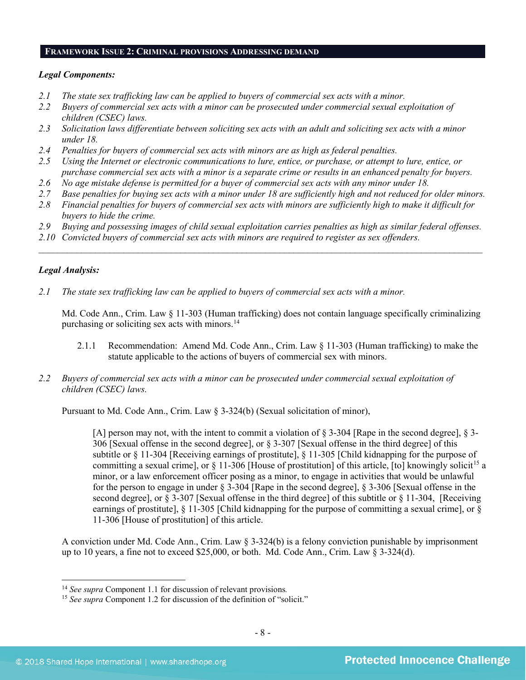#### **FRAMEWORK ISSUE 2: CRIMINAL PROVISIONS ADDRESSING DEMAND**

# *Legal Components:*

- *2.1 The state sex trafficking law can be applied to buyers of commercial sex acts with a minor.*
- *2.2 Buyers of commercial sex acts with a minor can be prosecuted under commercial sexual exploitation of children (CSEC) laws.*
- *2.3 Solicitation laws differentiate between soliciting sex acts with an adult and soliciting sex acts with a minor under 18.*
- *2.4 Penalties for buyers of commercial sex acts with minors are as high as federal penalties.*
- *2.5 Using the Internet or electronic communications to lure, entice, or purchase, or attempt to lure, entice, or purchase commercial sex acts with a minor is a separate crime or results in an enhanced penalty for buyers.*
- *2.6 No age mistake defense is permitted for a buyer of commercial sex acts with any minor under 18.*
- *2.7 Base penalties for buying sex acts with a minor under 18 are sufficiently high and not reduced for older minors.*
- *2.8 Financial penalties for buyers of commercial sex acts with minors are sufficiently high to make it difficult for buyers to hide the crime.*
- *2.9 Buying and possessing images of child sexual exploitation carries penalties as high as similar federal offenses.*

\_\_\_\_\_\_\_\_\_\_\_\_\_\_\_\_\_\_\_\_\_\_\_\_\_\_\_\_\_\_\_\_\_\_\_\_\_\_\_\_\_\_\_\_\_\_\_\_\_\_\_\_\_\_\_\_\_\_\_\_\_\_\_\_\_\_\_\_\_\_\_\_\_\_\_\_\_\_\_\_\_\_\_\_\_\_\_\_\_\_\_\_\_\_

*2.10 Convicted buyers of commercial sex acts with minors are required to register as sex offenders.*

# *Legal Analysis:*

 $\overline{\phantom{a}}$ 

*2.1 The state sex trafficking law can be applied to buyers of commercial sex acts with a minor.* 

Md. Code Ann., Crim. Law § 11-303 (Human trafficking) does not contain language specifically criminalizing purchasing or soliciting sex acts with minors. [14](#page-7-0)

- 2.1.1 Recommendation: Amend Md. Code Ann., Crim. Law § 11-303 (Human trafficking) to make the statute applicable to the actions of buyers of commercial sex with minors.
- *2.2 Buyers of commercial sex acts with a minor can be prosecuted under commercial sexual exploitation of children (CSEC) laws.*

Pursuant to Md. Code Ann., Crim. Law § 3-324(b) (Sexual solicitation of minor),

[A] person may not, with the intent to commit a violation of § 3-304 [Rape in the second degree], § 3- 306 [Sexual offense in the second degree], or § 3-307 [Sexual offense in the third degree] of this subtitle or § 11-304 [Receiving earnings of prostitute], § 11-305 [Child kidnapping for the purpose of committing a sexual crime], or  $\S$  11-306 [House of prostitution] of this article, [to] knowingly solicit<sup>[15](#page-7-1)</sup> a minor, or a law enforcement officer posing as a minor, to engage in activities that would be unlawful for the person to engage in under § 3-304 [Rape in the second degree], § 3-306 [Sexual offense in the second degree], or § 3-307 [Sexual offense in the third degree] of this subtitle or § 11-304, [Receiving earnings of prostitute],  $\S$  11-305 [Child kidnapping for the purpose of committing a sexual crime], or  $\S$ 11-306 [House of prostitution] of this article.

A conviction under Md. Code Ann., Crim. Law § 3-324(b) is a felony conviction punishable by imprisonment up to 10 years, a fine not to exceed \$25,000, or both. Md. Code Ann., Crim. Law § 3-324(d).

<span id="page-7-0"></span><sup>14</sup> *See supra* Component 1.1 for discussion of relevant provisions*.*

<span id="page-7-1"></span><sup>&</sup>lt;sup>15</sup> *See supra* Component 1.2 for discussion of the definition of "solicit."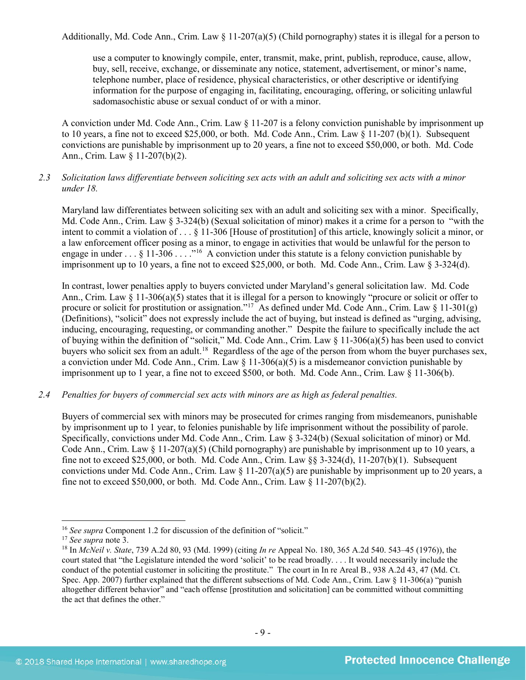Additionally, Md. Code Ann., Crim. Law  $\S$  11-207(a)(5) (Child pornography) states it is illegal for a person to

use a computer to knowingly compile, enter, transmit, make, print, publish, reproduce, cause, allow, buy, sell, receive, exchange, or disseminate any notice, statement, advertisement, or minor's name, telephone number, place of residence, physical characteristics, or other descriptive or identifying information for the purpose of engaging in, facilitating, encouraging, offering, or soliciting unlawful sadomasochistic abuse or sexual conduct of or with a minor.

A conviction under Md. Code Ann., Crim. Law § 11-207 is a felony conviction punishable by imprisonment up to 10 years, a fine not to exceed \$25,000, or both. Md. Code Ann., Crim. Law § 11-207 (b)(1). Subsequent convictions are punishable by imprisonment up to 20 years, a fine not to exceed \$50,000, or both. Md. Code Ann., Crim. Law § 11-207(b)(2).

# *2.3 Solicitation laws differentiate between soliciting sex acts with an adult and soliciting sex acts with a minor under 18.*

Maryland law differentiates between soliciting sex with an adult and soliciting sex with a minor. Specifically, Md. Code Ann., Crim. Law § 3-324(b) (Sexual solicitation of minor) makes it a crime for a person to "with the intent to commit a violation of . . . § 11-306 [House of prostitution] of this article, knowingly solicit a minor, or a law enforcement officer posing as a minor, to engage in activities that would be unlawful for the person to engage in under . . . § 11-306 . . . .<sup>"[16](#page-8-0)</sup> A conviction under this statute is a felony conviction punishable by imprisonment up to 10 years, a fine not to exceed \$25,000, or both. Md. Code Ann., Crim. Law § 3-324(d).

In contrast, lower penalties apply to buyers convicted under Maryland's general solicitation law. Md. Code Ann., Crim. Law § 11-306(a)(5) states that it is illegal for a person to knowingly "procure or solicit or offer to procure or solicit for prostitution or assignation."<sup>17</sup> As defined under Md. Code Ann., Crim. Law § 11-301(g) (Definitions), "solicit" does not expressly include the act of buying, but instead is defined as "urging, advising, inducing, encouraging, requesting, or commanding another." Despite the failure to specifically include the act of buying within the definition of "solicit," Md. Code Ann., Crim. Law § 11-306(a)(5) has been used to convict buyers who solicit sex from an adult.[18](#page-8-2) Regardless of the age of the person from whom the buyer purchases sex, a conviction under Md. Code Ann., Crim. Law  $\S$  11-306(a)(5) is a misdemeanor conviction punishable by imprisonment up to 1 year, a fine not to exceed \$500, or both. Md. Code Ann., Crim. Law § 11-306(b).

# *2.4 Penalties for buyers of commercial sex acts with minors are as high as federal penalties.*

Buyers of commercial sex with minors may be prosecuted for crimes ranging from misdemeanors, punishable by imprisonment up to 1 year, to felonies punishable by life imprisonment without the possibility of parole. Specifically, convictions under Md. Code Ann., Crim. Law § 3-324(b) (Sexual solicitation of minor) or Md. Code Ann., Crim. Law  $\S 11-207(a)(5)$  (Child pornography) are punishable by imprisonment up to 10 years, a fine not to exceed \$25,000, or both. Md. Code Ann., Crim. Law §§ 3-324(d), 11-207(b)(1). Subsequent convictions under Md. Code Ann., Crim. Law  $\S$  11-207(a)(5) are punishable by imprisonment up to 20 years, a fine not to exceed \$50,000, or both. Md. Code Ann., Crim. Law  $\hat{g}$  11-207(b)(2).

<span id="page-8-0"></span><sup>16</sup> *See supra* Component 1.2 for discussion of the definition of "solicit." 17 *See supra* note [3.](#page-0-3)

<span id="page-8-2"></span><span id="page-8-1"></span><sup>18</sup> In *McNeil v. State*, 739 A.2d 80, 93 (Md. 1999) (citing *In re* Appeal No. 180, 365 A.2d 540. 543–45 (1976)), the court stated that "the Legislature intended the word 'solicit' to be read broadly. . . . It would necessarily include the conduct of the potential customer in soliciting the prostitute." The court in In re Areal B., 938 A.2d 43, 47 (Md. Ct. Spec. App. 2007) further explained that the different subsections of Md. Code Ann., Crim. Law § 11-306(a) "punish altogether different behavior" and "each offense [prostitution and solicitation] can be committed without committing the act that defines the other."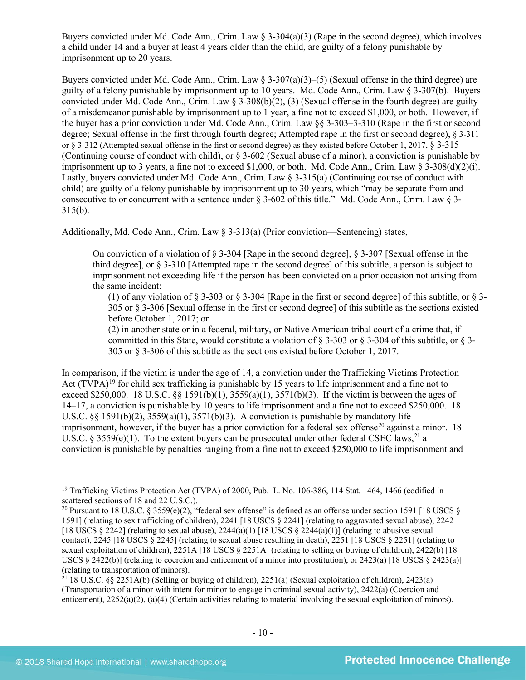Buyers convicted under Md. Code Ann., Crim. Law § 3-304(a)(3) (Rape in the second degree), which involves a child under 14 and a buyer at least 4 years older than the child, are guilty of a felony punishable by imprisonment up to 20 years.

Buyers convicted under Md. Code Ann., Crim. Law § 3-307(a)(3)–(5) (Sexual offense in the third degree) are guilty of a felony punishable by imprisonment up to 10 years. Md. Code Ann., Crim. Law § 3-307(b). Buyers convicted under Md. Code Ann., Crim. Law § 3-308(b)(2), (3) (Sexual offense in the fourth degree) are guilty of a misdemeanor punishable by imprisonment up to 1 year, a fine not to exceed \$1,000, or both. However, if the buyer has a prior conviction under Md. Code Ann., Crim. Law §§ 3-303–3-310 (Rape in the first or second degree; Sexual offense in the first through fourth degree; Attempted rape in the first or second degree), § 3-311 or § 3-312 (Attempted sexual offense in the first or second degree) as they existed before October 1, 2017, § 3-315 (Continuing course of conduct with child), or § 3-602 (Sexual abuse of a minor), a conviction is punishable by imprisonment up to 3 years, a fine not to exceed \$1,000, or both. Md. Code Ann., Crim. Law  $\S$  3-308(d)(2)(i). Lastly, buyers convicted under Md. Code Ann., Crim. Law § 3-315(a) (Continuing course of conduct with child) are guilty of a felony punishable by imprisonment up to 30 years, which "may be separate from and consecutive to or concurrent with a sentence under § 3-602 of this title." Md. Code Ann., Crim. Law § 3- 315(b).

Additionally, Md. Code Ann., Crim. Law  $\S$  3-313(a) (Prior conviction—Sentencing) states,

On conviction of a violation of § 3-304 [Rape in the second degree], § 3-307 [Sexual offense in the third degree], or § 3-310 [Attempted rape in the second degree] of this subtitle, a person is subject to imprisonment not exceeding life if the person has been convicted on a prior occasion not arising from the same incident:

(1) of any violation of § 3-303 or § 3-304 [Rape in the first or second degree] of this subtitle, or § 3- 305 or § 3-306 [Sexual offense in the first or second degree] of this subtitle as the sections existed before October 1, 2017; or

<span id="page-9-4"></span>(2) in another state or in a federal, military, or Native American tribal court of a crime that, if committed in this State, would constitute a violation of § 3-303 or § 3-304 of this subtitle, or § 3- 305 or § 3-306 of this subtitle as the sections existed before October 1, 2017.

<span id="page-9-3"></span>In comparison, if the victim is under the age of 14, a conviction under the Trafficking Victims Protection Act  $(TVPA)^{19}$  $(TVPA)^{19}$  $(TVPA)^{19}$  for child sex trafficking is punishable by 15 years to life imprisonment and a fine not to exceed \$250,000. 18 U.S.C.  $\S$  1591(b)(1), 3559(a)(1), 3571(b)(3). If the victim is between the ages of 14–17, a conviction is punishable by 10 years to life imprisonment and a fine not to exceed \$250,000. 18 U.S.C.  $\S$ § 1591(b)(2), 3559(a)(1), 3571(b)(3). A conviction is punishable by mandatory life imprisonment, however, if the buyer has a prior conviction for a federal sex offense<sup>[20](#page-9-1)</sup> against a minor. 18 U.S.C. § 3559(e)(1). To the extent buyers can be prosecuted under other federal CSEC laws.<sup>21</sup> a conviction is punishable by penalties ranging from a fine not to exceed \$250,000 to life imprisonment and

<span id="page-9-0"></span><sup>&</sup>lt;sup>19</sup> Trafficking Victims Protection Act (TVPA) of 2000, Pub. L. No. 106-386, 114 Stat. 1464, 1466 (codified in scattered sections of 18 and 22 U.S.C.).

<span id="page-9-1"></span><sup>&</sup>lt;sup>20</sup> Pursuant to 18 U.S.C. § 3559(e)(2), "federal sex offense" is defined as an offense under section 1591 [18 USCS § 1591] (relating to sex trafficking of children), 2241 [18 USCS § 2241] (relating to aggravated sexual abuse), 2242 [18 USCS  $\S 2242$ ] (relating to sexual abuse),  $2244(a)(1)$  [18 USCS  $\S 2244(a)(1)$ ] (relating to abusive sexual contact), 2245 [18 USCS § 2245] (relating to sexual abuse resulting in death), 2251 [18 USCS § 2251] (relating to sexual exploitation of children), 2251A [18 USCS § 2251A] (relating to selling or buying of children), 2422(b) [18 USCS  $\S$  2422(b)] (relating to coercion and enticement of a minor into prostitution), or 2423(a) [18 USCS  $\S$  2423(a)] (relating to transportation of minors).

<span id="page-9-2"></span><sup>&</sup>lt;sup>21</sup> 18 U.S.C. §§ 2251A(b) (Selling or buying of children), 2251(a) (Sexual exploitation of children), 2423(a) (Transportation of a minor with intent for minor to engage in criminal sexual activity), 2422(a) (Coercion and enticement), 2252(a)(2), (a)(4) (Certain activities relating to material involving the sexual exploitation of minors).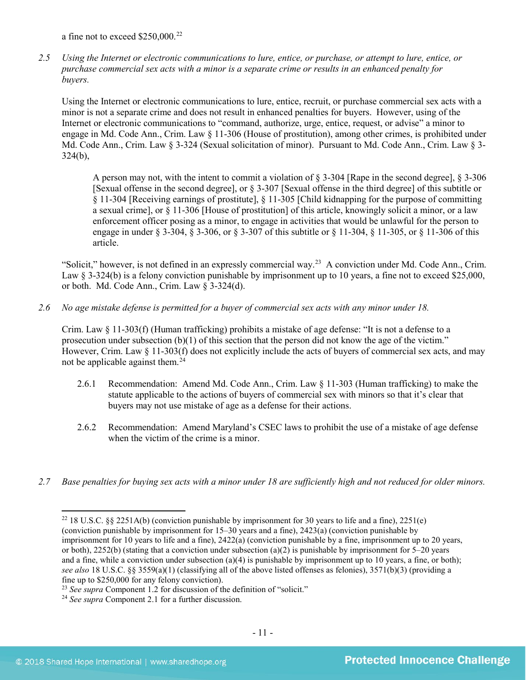a fine not to exceed \$250,000.[22](#page-10-0)

*2.5 Using the Internet or electronic communications to lure, entice, or purchase, or attempt to lure, entice, or purchase commercial sex acts with a minor is a separate crime or results in an enhanced penalty for buyers.*

Using the Internet or electronic communications to lure, entice, recruit, or purchase commercial sex acts with a minor is not a separate crime and does not result in enhanced penalties for buyers. However, using of the Internet or electronic communications to "command, authorize, urge, entice, request, or advise" a minor to engage in Md. Code Ann., Crim. Law § 11-306 (House of prostitution), among other crimes, is prohibited under Md. Code Ann., Crim. Law § 3-324 (Sexual solicitation of minor). Pursuant to Md. Code Ann., Crim. Law § 3-  $324(b)$ ,

A person may not, with the intent to commit a violation of § 3-304 [Rape in the second degree], § 3-306 [Sexual offense in the second degree], or § 3-307 [Sexual offense in the third degree] of this subtitle or § 11-304 [Receiving earnings of prostitute], § 11-305 [Child kidnapping for the purpose of committing a sexual crime], or § 11-306 [House of prostitution] of this article, knowingly solicit a minor, or a law enforcement officer posing as a minor, to engage in activities that would be unlawful for the person to engage in under § 3-304, § 3-306, or § 3-307 of this subtitle or § 11-304, § 11-305, or § 11-306 of this article.

"Solicit," however, is not defined in an expressly commercial way.[23](#page-10-1) A conviction under Md. Code Ann., Crim. Law § 3-324(b) is a felony conviction punishable by imprisonment up to 10 years, a fine not to exceed \$25,000, or both. Md. Code Ann., Crim. Law § 3-324(d).

*2.6 No age mistake defense is permitted for a buyer of commercial sex acts with any minor under 18.*

Crim. Law § 11-303(f) (Human trafficking) prohibits a mistake of age defense: "It is not a defense to a prosecution under subsection (b)(1) of this section that the person did not know the age of the victim." However, Crim. Law § 11-303(f) does not explicitly include the acts of buyers of commercial sex acts, and may not be applicable against them.<sup>[24](#page-10-2)</sup>

- 2.6.1 Recommendation: Amend Md. Code Ann., Crim. Law § 11-303 (Human trafficking) to make the statute applicable to the actions of buyers of commercial sex with minors so that it's clear that buyers may not use mistake of age as a defense for their actions.
- 2.6.2 Recommendation: Amend Maryland's CSEC laws to prohibit the use of a mistake of age defense when the victim of the crime is a minor.
- <span id="page-10-0"></span>*2.7 Base penalties for buying sex acts with a minor under 18 are sufficiently high and not reduced for older minors.*

<sup>22</sup> 18 U.S.C. §§ 2251A(b) (conviction punishable by imprisonment for 30 years to life and a fine), 2251(e) (conviction punishable by imprisonment for 15–30 years and a fine), 2423(a) (conviction punishable by imprisonment for 10 years to life and a fine), 2422(a) (conviction punishable by a fine, imprisonment up to 20 years, or both),  $2252(b)$  (stating that a conviction under subsection (a)(2) is punishable by imprisonment for 5–20 years and a fine, while a conviction under subsection  $(a)(4)$  is punishable by imprisonment up to 10 years, a fine, or both); *see also* 18 U.S.C. §§ 3559(a)(1) (classifying all of the above listed offenses as felonies), 3571(b)(3) (providing a fine up to \$250,000 for any felony conviction).

<span id="page-10-1"></span><sup>&</sup>lt;sup>23</sup> *See supra* Component 1.2 for discussion of the definition of "solicit."

<span id="page-10-2"></span><sup>24</sup> *See supra* Component 2.1 for a further discussion.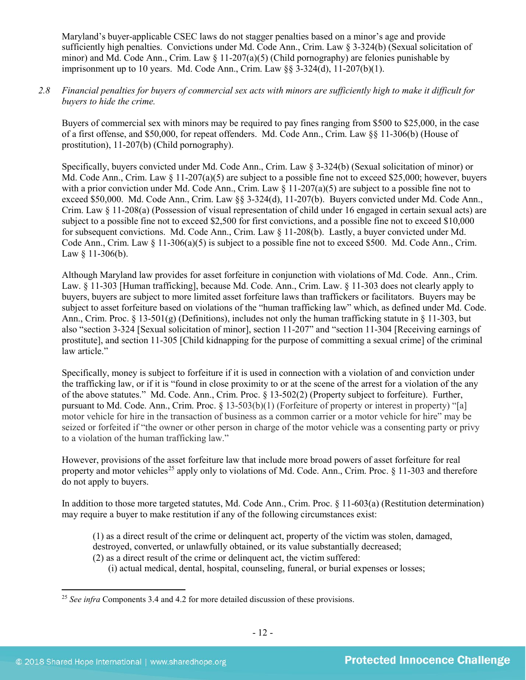Maryland's buyer-applicable CSEC laws do not stagger penalties based on a minor's age and provide sufficiently high penalties. Convictions under Md. Code Ann., Crim. Law § 3-324(b) (Sexual solicitation of minor) and Md. Code Ann., Crim. Law  $\S$  11-207(a)(5) (Child pornography) are felonies punishable by imprisonment up to 10 years. Md. Code Ann., Crim. Law  $\S$ § 3-324(d), 11-207(b)(1).

# *2.8 Financial penalties for buyers of commercial sex acts with minors are sufficiently high to make it difficult for buyers to hide the crime.*

Buyers of commercial sex with minors may be required to pay fines ranging from \$500 to \$25,000, in the case of a first offense, and \$50,000, for repeat offenders. Md. Code Ann., Crim. Law §§ 11-306(b) (House of prostitution), 11-207(b) (Child pornography).

Specifically, buyers convicted under Md. Code Ann., Crim. Law § 3-324(b) (Sexual solicitation of minor) or Md. Code Ann., Crim. Law  $\S$  11-207(a)(5) are subject to a possible fine not to exceed \$25,000; however, buyers with a prior conviction under Md. Code Ann., Crim. Law  $\S$  11-207(a)(5) are subject to a possible fine not to exceed \$50,000. Md. Code Ann., Crim. Law §§ 3-324(d), 11-207(b). Buyers convicted under Md. Code Ann., Crim. Law § 11-208(a) (Possession of visual representation of child under 16 engaged in certain sexual acts) are subject to a possible fine not to exceed \$2,500 for first convictions, and a possible fine not to exceed \$10,000 for subsequent convictions. Md. Code Ann., Crim. Law § 11-208(b). Lastly, a buyer convicted under Md. Code Ann., Crim. Law § 11-306(a)(5) is subject to a possible fine not to exceed \$500. Md. Code Ann., Crim. Law  $§$  11-306(b).

Although Maryland law provides for asset forfeiture in conjunction with violations of Md. Code. Ann., Crim. Law. § 11-303 [Human trafficking], because Md. Code. Ann., Crim. Law. § 11-303 does not clearly apply to buyers, buyers are subject to more limited asset forfeiture laws than traffickers or facilitators. Buyers may be subject to asset forfeiture based on violations of the "human trafficking law" which, as defined under Md. Code. Ann., Crim. Proc. § 13-501(g) (Definitions), includes not only the human trafficking statute in § 11-303, but also "section 3-324 [Sexual solicitation of minor], section 11-207" and "section 11-304 [Receiving earnings of prostitute], and section 11-305 [Child kidnapping for the purpose of committing a sexual crime] of the criminal law article."

Specifically, money is subject to forfeiture if it is used in connection with a violation of and conviction under the trafficking law, or if it is "found in close proximity to or at the scene of the arrest for a violation of the any of the above statutes." Md. Code. Ann., Crim. Proc. § 13-502(2) (Property subject to forfeiture). Further, pursuant to Md. Code. Ann., Crim. Proc. § 13-503(b)(1) (Forfeiture of property or interest in property) "[a] motor vehicle for hire in the transaction of business as a common carrier or a motor vehicle for hire" may be seized or forfeited if "the owner or other person in charge of the motor vehicle was a consenting party or privy to a violation of the human trafficking law."

However, provisions of the asset forfeiture law that include more broad powers of asset forfeiture for real property and motor vehicles<sup>[25](#page-11-0)</sup> apply only to violations of Md. Code. Ann., Crim. Proc.  $\S$  11-303 and therefore do not apply to buyers.

In addition to those more targeted statutes, Md. Code Ann., Crim. Proc. § 11-603(a) (Restitution determination) may require a buyer to make restitution if any of the following circumstances exist:

(1) as a direct result of the crime or delinquent act, property of the victim was stolen, damaged, destroyed, converted, or unlawfully obtained, or its value substantially decreased;

- (2) as a direct result of the crime or delinquent act, the victim suffered:
	- (i) actual medical, dental, hospital, counseling, funeral, or burial expenses or losses;

<span id="page-11-0"></span><sup>&</sup>lt;sup>25</sup> *See infra* Components 3.4 and 4.2 for more detailed discussion of these provisions.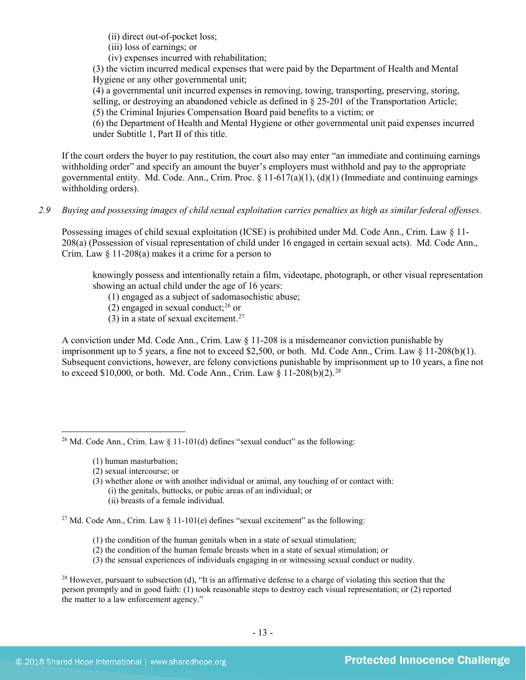(ii) direct out-of-pocket loss;

(iii) loss of earnings; or

(iv) expenses incurred with rehabilitation;

(3) the victim incurred medical expenses that were paid by the Department of Health and Mental Hygiene or any other governmental unit;

(4) a governmental unit incurred expenses in removing, towing, transporting, preserving, storing, selling, or destroying an abandoned vehicle as defined in § 25-201 of the Transportation Article; (5) the Criminal Injuries Compensation Board paid benefits to a victim; or

(6) the Department of Health and Mental Hygiene or other governmental unit paid expenses incurred under Subtitle 1, Part II of this title.

If the court orders the buyer to pay restitution, the court also may enter "an immediate and continuing earnings withholding order" and specify an amount the buyer's employers must withhold and pay to the appropriate governmental entity. Md. Code. Ann., Crim. Proc. § 11-617(a)(1), (d)(1) (Immediate and continuing earnings withholding orders).

# *2.9 Buying and possessing images of child sexual exploitation carries penalties as high as similar federal offenses.*

Possessing images of child sexual exploitation (ICSE) is prohibited under Md. Code Ann., Crim. Law § 11- 208(a) (Possession of visual representation of child under 16 engaged in certain sexual acts). Md. Code Ann., Crim. Law § 11-208(a) makes it a crime for a person to

knowingly possess and intentionally retain a film, videotape, photograph, or other visual representation showing an actual child under the age of 16 years:

- (1) engaged as a subject of sadomasochistic abuse;
- (2) engaged in sexual conduct; $^{26}$  $^{26}$  $^{26}$  or
- (3) in a state of sexual excitement.<sup>[27](#page-12-1)</sup>

A conviction under Md. Code Ann., Crim. Law § 11-208 is a misdemeanor conviction punishable by imprisonment up to 5 years, a fine not to exceed \$2,500, or both. Md. Code Ann., Crim. Law § 11-208(b)(1). Subsequent convictions, however, are felony convictions punishable by imprisonment up to 10 years, a fine not to exceed \$10,000, or both. Md. Code Ann., Crim. Law  $§$  11-208(b)(2).<sup>[28](#page-12-2)</sup>

- (1) human masturbation;
- (2) sexual intercourse; or

(3) whether alone or with another individual or animal, any touching of or contact with: (i) the genitals, buttocks, or pubic areas of an individual; or

(ii) breasts of a female individual.

<span id="page-12-1"></span><sup>27</sup> Md. Code Ann., Crim. Law § 11-101(e) defines "sexual excitement" as the following:

- (1) the condition of the human genitals when in a state of sexual stimulation;
- (2) the condition of the human female breasts when in a state of sexual stimulation; or
- (3) the sensual experiences of individuals engaging in or witnessing sexual conduct or nudity.

<span id="page-12-2"></span><sup>28</sup> However, pursuant to subsection (d), "It is an affirmative defense to a charge of violating this section that the person promptly and in good faith: (1) took reasonable steps to destroy each visual representation; or (2) reported the matter to a law enforcement agency."

<span id="page-12-0"></span> $\overline{\phantom{a}}$ <sup>26</sup> Md. Code Ann., Crim. Law  $\S$  11-101(d) defines "sexual conduct" as the following: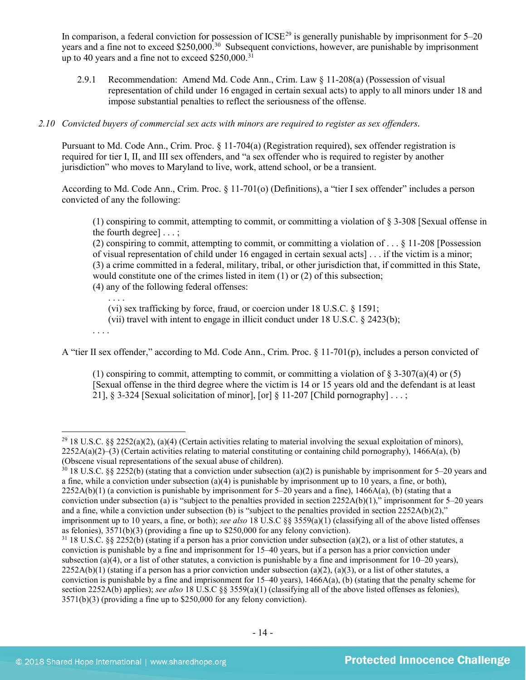In comparison, a federal conviction for possession of  $ICSE<sup>29</sup>$  $ICSE<sup>29</sup>$  $ICSE<sup>29</sup>$  is generally punishable by imprisonment for  $5-20$ years and a fine not to exceed \$250,000.<sup>30</sup> Subsequent convictions, however, are punishable by imprisonment up to 40 years and a fine not to exceed  $$250,000$ .<sup>[31](#page-13-2)</sup>

2.9.1 Recommendation: Amend Md. Code Ann., Crim. Law § 11-208(a) (Possession of visual representation of child under 16 engaged in certain sexual acts) to apply to all minors under 18 and impose substantial penalties to reflect the seriousness of the offense.

# *2.10 Convicted buyers of commercial sex acts with minors are required to register as sex offenders.*

Pursuant to Md. Code Ann., Crim. Proc. § 11-704(a) (Registration required), sex offender registration is required for tier I, II, and III sex offenders, and "a sex offender who is required to register by another jurisdiction" who moves to Maryland to live, work, attend school, or be a transient.

According to Md. Code Ann., Crim. Proc. § 11-701(o) (Definitions), a "tier I sex offender" includes a person convicted of any the following:

(1) conspiring to commit, attempting to commit, or committing a violation of § 3-308 [Sexual offense in the fourth degree] . . . ;

(2) conspiring to commit, attempting to commit, or committing a violation of . . . § 11-208 [Possession of visual representation of child under 16 engaged in certain sexual acts] . . . if the victim is a minor; (3) a crime committed in a federal, military, tribal, or other jurisdiction that, if committed in this State, would constitute one of the crimes listed in item (1) or (2) of this subsection; (4) any of the following federal offenses:

. . . . (vi) sex trafficking by force, fraud, or coercion under 18 U.S.C. § 1591; (vii) travel with intent to engage in illicit conduct under 18 U.S.C. § 2423(b);

. . . .

 $\overline{\phantom{a}}$ 

A "tier II sex offender," according to Md. Code Ann., Crim. Proc. § 11-701(p), includes a person convicted of

(1) conspiring to commit, attempting to commit, or committing a violation of  $\S 3-307(a)(4)$  or (5) [Sexual offense in the third degree where the victim is 14 or 15 years old and the defendant is at least 21], § 3-324 [Sexual solicitation of minor], [or] § 11-207 [Child pornography]...;

<span id="page-13-0"></span> $29$  18 U.S.C. §§ 2252(a)(2), (a)(4) (Certain activities relating to material involving the sexual exploitation of minors),  $2252A(a)(2)$ –(3) (Certain activities relating to material constituting or containing child pornography), 1466A(a), (b) (Obscene visual representations of the sexual abuse of children).

<span id="page-13-1"></span> $30\,18$  U.S.C. §§ 2252(b) (stating that a conviction under subsection (a)(2) is punishable by imprisonment for 5–20 years and a fine, while a conviction under subsection (a)(4) is punishable by imprisonment up to 10 years, a fine, or both),  $2252A(b)(1)$  (a conviction is punishable by imprisonment for 5–20 years and a fine), 1466A(a), (b) (stating that a conviction under subsection (a) is "subject to the penalties provided in section 2252A(b)(1)," imprisonment for 5–20 years and a fine, while a conviction under subsection (b) is "subject to the penalties provided in section  $2252A(b)(2)$ ," imprisonment up to 10 years, a fine, or both); *see also* 18 U.S.C §§ 3559(a)(1) (classifying all of the above listed offenses as felonies), 3571(b)(3) (providing a fine up to \$250,000 for any felony conviction).

<span id="page-13-2"></span> $31\,18$  U.S.C. §§ 2252(b) (stating if a person has a prior conviction under subsection (a)(2), or a list of other statutes, a conviction is punishable by a fine and imprisonment for 15–40 years, but if a person has a prior conviction under subsection (a)(4), or a list of other statutes, a conviction is punishable by a fine and imprisonment for  $10-20$  years),  $2252A(b)(1)$  (stating if a person has a prior conviction under subsection (a)(2), (a)(3), or a list of other statutes, a conviction is punishable by a fine and imprisonment for  $15-40$  years),  $1466A(a)$ , (b) (stating that the penalty scheme for section 2252A(b) applies); *see also* 18 U.S.C §§ 3559(a)(1) (classifying all of the above listed offenses as felonies), 3571(b)(3) (providing a fine up to \$250,000 for any felony conviction).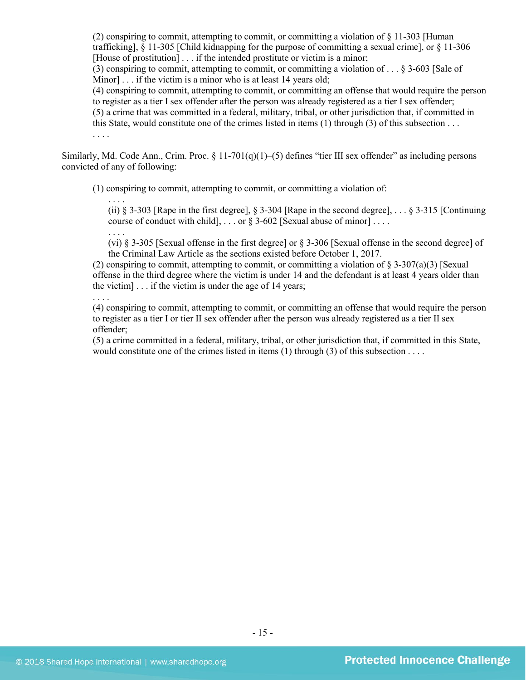(2) conspiring to commit, attempting to commit, or committing a violation of § 11-303 [Human trafficking], § 11-305 [Child kidnapping for the purpose of committing a sexual crime], or § 11-306 [House of prostitution] . . . if the intended prostitute or victim is a minor;

(3) conspiring to commit, attempting to commit, or committing a violation of . . . § 3-603 [Sale of Minor] . . . if the victim is a minor who is at least 14 years old;

(4) conspiring to commit, attempting to commit, or committing an offense that would require the person to register as a tier I sex offender after the person was already registered as a tier I sex offender; (5) a crime that was committed in a federal, military, tribal, or other jurisdiction that, if committed in

this State, would constitute one of the crimes listed in items (1) through (3) of this subsection . . .

. . . .

Similarly, Md. Code Ann., Crim. Proc. § 11-701(q)(1)–(5) defines "tier III sex offender" as including persons convicted of any of following:

(1) conspiring to commit, attempting to commit, or committing a violation of:

. . . . (ii)  $\S$  3-303 [Rape in the first degree],  $\S$  3-304 [Rape in the second degree], ...  $\S$  3-315 [Continuing] course of conduct with child],  $\ldots$  or § 3-602 [Sexual abuse of minor]...

(vi) § 3-305 [Sexual offense in the first degree] or § 3-306 [Sexual offense in the second degree] of the Criminal Law Article as the sections existed before October 1, 2017.

(2) conspiring to commit, attempting to commit, or committing a violation of  $\S$  3-307(a)(3) [Sexual] offense in the third degree where the victim is under 14 and the defendant is at least 4 years older than the victim] . . . if the victim is under the age of 14 years;

. . . .

. . . .

(4) conspiring to commit, attempting to commit, or committing an offense that would require the person to register as a tier I or tier II sex offender after the person was already registered as a tier II sex offender;

(5) a crime committed in a federal, military, tribal, or other jurisdiction that, if committed in this State, would constitute one of the crimes listed in items  $(1)$  through  $(3)$  of this subsection  $\ldots$ .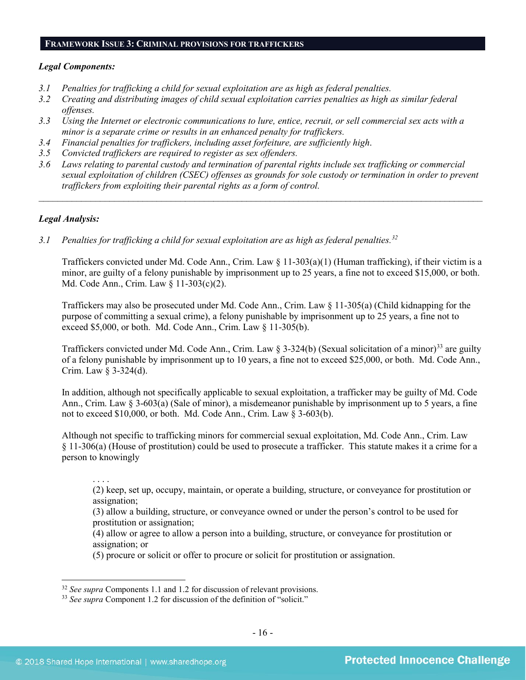#### **FRAMEWORK ISSUE 3: CRIMINAL PROVISIONS FOR TRAFFICKERS**

#### *Legal Components:*

- *3.1 Penalties for trafficking a child for sexual exploitation are as high as federal penalties.*
- *3.2 Creating and distributing images of child sexual exploitation carries penalties as high as similar federal offenses.*
- *3.3 Using the Internet or electronic communications to lure, entice, recruit, or sell commercial sex acts with a minor is a separate crime or results in an enhanced penalty for traffickers.*
- *3.4 Financial penalties for traffickers, including asset forfeiture, are sufficiently high*.
- *3.5 Convicted traffickers are required to register as sex offenders.*
- *3.6 Laws relating to parental custody and termination of parental rights include sex trafficking or commercial sexual exploitation of children (CSEC) offenses as grounds for sole custody or termination in order to prevent traffickers from exploiting their parental rights as a form of control.*

*\_\_\_\_\_\_\_\_\_\_\_\_\_\_\_\_\_\_\_\_\_\_\_\_\_\_\_\_\_\_\_\_\_\_\_\_\_\_\_\_\_\_\_\_\_\_\_\_\_\_\_\_\_\_\_\_\_\_\_\_\_\_\_\_\_\_\_\_\_\_\_\_\_\_\_\_\_\_\_\_\_\_\_\_\_\_\_\_\_\_\_\_\_\_*

# *Legal Analysis:*

*3.1 Penalties for trafficking a child for sexual exploitation are as high as federal penalties. [32](#page-15-0)*

Traffickers convicted under Md. Code Ann., Crim. Law § 11-303(a)(1) (Human trafficking), if their victim is a minor, are guilty of a felony punishable by imprisonment up to 25 years, a fine not to exceed \$15,000, or both. Md. Code Ann., Crim. Law § 11-303(c)(2).

Traffickers may also be prosecuted under Md. Code Ann., Crim. Law § 11-305(a) (Child kidnapping for the purpose of committing a sexual crime), a felony punishable by imprisonment up to 25 years, a fine not to exceed \$5,000, or both. Md. Code Ann., Crim. Law § 11-305(b).

Traffickers convicted under Md. Code Ann., Crim. Law § 3-324(b) (Sexual solicitation of a minor)[33](#page-15-1) are guilty of a felony punishable by imprisonment up to 10 years, a fine not to exceed \$25,000, or both. Md. Code Ann., Crim. Law § 3-324(d).

In addition, although not specifically applicable to sexual exploitation, a trafficker may be guilty of Md. Code Ann., Crim. Law § 3-603(a) (Sale of minor), a misdemeanor punishable by imprisonment up to 5 years, a fine not to exceed \$10,000, or both. Md. Code Ann., Crim. Law § 3-603(b).

Although not specific to trafficking minors for commercial sexual exploitation, Md. Code Ann., Crim. Law § 11-306(a) (House of prostitution) could be used to prosecute a trafficker. This statute makes it a crime for a person to knowingly

. . . .

 $\overline{\phantom{a}}$ 

(2) keep, set up, occupy, maintain, or operate a building, structure, or conveyance for prostitution or assignation;

(3) allow a building, structure, or conveyance owned or under the person's control to be used for prostitution or assignation;

(4) allow or agree to allow a person into a building, structure, or conveyance for prostitution or assignation; or

(5) procure or solicit or offer to procure or solicit for prostitution or assignation.

<span id="page-15-0"></span><sup>32</sup> *See supra* Components 1.1 and 1.2 for discussion of relevant provisions.

<span id="page-15-1"></span><sup>&</sup>lt;sup>33</sup> See supra Component 1.2 for discussion of the definition of "solicit."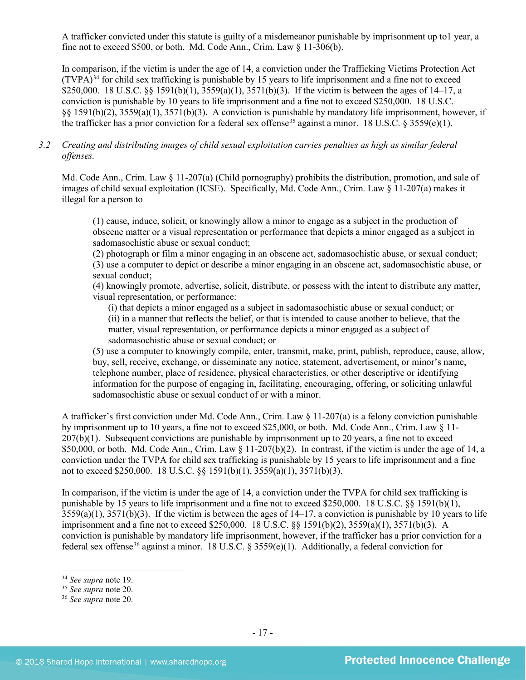A trafficker convicted under this statute is guilty of a misdemeanor punishable by imprisonment up to1 year, a fine not to exceed \$500, or both. Md. Code Ann., Crim. Law § 11-306(b).

In comparison, if the victim is under the age of 14, a conviction under the Trafficking Victims Protection Act  $(TVPA)<sup>34</sup>$  $(TVPA)<sup>34</sup>$  $(TVPA)<sup>34</sup>$  for child sex trafficking is punishable by 15 years to life imprisonment and a fine not to exceed \$250,000. 18 U.S.C. §§ 1591(b)(1),  $3559(a)(1)$ ,  $3571(b)(3)$ . If the victim is between the ages of 14–17, a conviction is punishable by 10 years to life imprisonment and a fine not to exceed \$250,000. 18 U.S.C. §§ 1591(b)(2), 3559(a)(1), 3571(b)(3). A conviction is punishable by mandatory life imprisonment, however, if the trafficker has a prior conviction for a federal sex offense<sup>[35](#page-16-1)</sup> against a minor. 18 U.S.C. § 3559(e)(1).

# *3.2 Creating and distributing images of child sexual exploitation carries penalties as high as similar federal offenses.*

Md. Code Ann., Crim. Law § 11-207(a) (Child pornography) prohibits the distribution, promotion, and sale of images of child sexual exploitation (ICSE). Specifically, Md. Code Ann., Crim. Law § 11-207(a) makes it illegal for a person to

(1) cause, induce, solicit, or knowingly allow a minor to engage as a subject in the production of obscene matter or a visual representation or performance that depicts a minor engaged as a subject in sadomasochistic abuse or sexual conduct;

(2) photograph or film a minor engaging in an obscene act, sadomasochistic abuse, or sexual conduct; (3) use a computer to depict or describe a minor engaging in an obscene act, sadomasochistic abuse, or sexual conduct;

(4) knowingly promote, advertise, solicit, distribute, or possess with the intent to distribute any matter, visual representation, or performance:

(i) that depicts a minor engaged as a subject in sadomasochistic abuse or sexual conduct; or (ii) in a manner that reflects the belief, or that is intended to cause another to believe, that the matter, visual representation, or performance depicts a minor engaged as a subject of sadomasochistic abuse or sexual conduct; or

(5) use a computer to knowingly compile, enter, transmit, make, print, publish, reproduce, cause, allow, buy, sell, receive, exchange, or disseminate any notice, statement, advertisement, or minor's name, telephone number, place of residence, physical characteristics, or other descriptive or identifying information for the purpose of engaging in, facilitating, encouraging, offering, or soliciting unlawful sadomasochistic abuse or sexual conduct of or with a minor.

A trafficker's first conviction under Md. Code Ann., Crim. Law  $\S$  11-207(a) is a felony conviction punishable by imprisonment up to 10 years, a fine not to exceed \$25,000, or both. Md. Code Ann., Crim. Law § 11- 207(b)(1). Subsequent convictions are punishable by imprisonment up to 20 years, a fine not to exceed \$50,000, or both. Md. Code Ann., Crim. Law § 11-207(b)(2). In contrast, if the victim is under the age of 14, a conviction under the TVPA for child sex trafficking is punishable by 15 years to life imprisonment and a fine not to exceed \$250,000. 18 U.S.C. §§ 1591(b)(1), 3559(a)(1), 3571(b)(3).

In comparison, if the victim is under the age of 14, a conviction under the TVPA for child sex trafficking is punishable by 15 years to life imprisonment and a fine not to exceed \$250,000. 18 U.S.C. §§ 1591(b)(1),  $3559(a)(1)$ ,  $3571(b)(3)$ . If the victim is between the ages of  $14-17$ , a conviction is punishable by 10 years to life imprisonment and a fine not to exceed \$250,000. 18 U.S.C. §§ 1591(b)(2), 3559(a)(1), 3571(b)(3). A conviction is punishable by mandatory life imprisonment, however, if the trafficker has a prior conviction for a federal sex offense<sup>[36](#page-16-2)</sup> against a minor. 18 U.S.C. § 3559(e)(1). Additionally, a federal conviction for

<span id="page-16-0"></span><sup>34</sup> *See supra* note [19.](#page-9-3)

<span id="page-16-1"></span><sup>35</sup> *See supra* note [20.](#page-9-4)

<span id="page-16-2"></span><sup>36</sup> *See supra* note [20.](#page-9-4)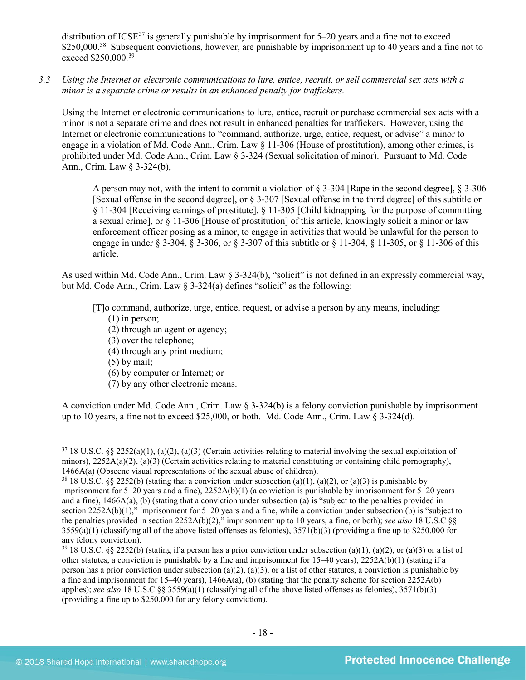distribution of ICSE<sup>[37](#page-17-0)</sup> is generally punishable by imprisonment for  $5-20$  years and a fine not to exceed \$250,000.<sup>[38](#page-17-1)</sup> Subsequent convictions, however, are punishable by imprisonment up to 40 years and a fine not to exceed \$250,000.<sup>[39](#page-17-2)</sup>

*3.3 Using the Internet or electronic communications to lure, entice, recruit, or sell commercial sex acts with a minor is a separate crime or results in an enhanced penalty for traffickers.*

Using the Internet or electronic communications to lure, entice, recruit or purchase commercial sex acts with a minor is not a separate crime and does not result in enhanced penalties for traffickers. However, using the Internet or electronic communications to "command, authorize, urge, entice, request, or advise" a minor to engage in a violation of Md. Code Ann., Crim. Law § 11-306 (House of prostitution), among other crimes, is prohibited under Md. Code Ann., Crim. Law § 3-324 (Sexual solicitation of minor). Pursuant to Md. Code Ann., Crim. Law § 3-324(b),

A person may not, with the intent to commit a violation of § 3-304 [Rape in the second degree], § 3-306 [Sexual offense in the second degree], or § 3-307 [Sexual offense in the third degree] of this subtitle or § 11-304 [Receiving earnings of prostitute], § 11-305 [Child kidnapping for the purpose of committing a sexual crime], or § 11-306 [House of prostitution] of this article, knowingly solicit a minor or law enforcement officer posing as a minor, to engage in activities that would be unlawful for the person to engage in under § 3-304, § 3-306, or § 3-307 of this subtitle or § 11-304, § 11-305, or § 11-306 of this article.

As used within Md. Code Ann., Crim. Law § 3-324(b), "solicit" is not defined in an expressly commercial way, but Md. Code Ann., Crim. Law § 3-324(a) defines "solicit" as the following:

[T]o command, authorize, urge, entice, request, or advise a person by any means, including:

- (1) in person;
- (2) through an agent or agency;
- (3) over the telephone;
- (4) through any print medium;
- (5) by mail;

l

- (6) by computer or Internet; or
- (7) by any other electronic means.

A conviction under Md. Code Ann., Crim. Law § 3-324(b) is a felony conviction punishable by imprisonment up to 10 years, a fine not to exceed \$25,000, or both. Md. Code Ann., Crim. Law § 3-324(d).

<span id="page-17-0"></span> $37\,18$  U.S.C. §§ 2252(a)(1), (a)(2), (a)(3) (Certain activities relating to material involving the sexual exploitation of minors),  $2252A(a)(2)$ ,  $(a)(3)$  (Certain activities relating to material constituting or containing child pornography), 1466A(a) (Obscene visual representations of the sexual abuse of children).<br><sup>38</sup> 18 U.S.C. §§ 2252(b) (stating that a conviction under subsection (a)(1), (a)(2), or (a)(3) is punishable by

<span id="page-17-1"></span>imprisonment for 5–20 years and a fine), 2252A(b)(1) (a conviction is punishable by imprisonment for 5–20 years and a fine), 1466A(a), (b) (stating that a conviction under subsection (a) is "subject to the penalties provided in section 2252A(b)(1)," imprisonment for 5–20 years and a fine, while a conviction under subsection (b) is "subject to the penalties provided in section 2252A(b)(2)," imprisonment up to 10 years, a fine, or both); *see also* 18 U.S.C §§  $3559(a)(1)$  (classifying all of the above listed offenses as felonies),  $3571(b)(3)$  (providing a fine up to \$250,000 for any felony conviction).

<span id="page-17-2"></span><sup>&</sup>lt;sup>39</sup> 18 U.S.C. §§ 2252(b) (stating if a person has a prior conviction under subsection (a)(1), (a)(2), or (a)(3) or a list of other statutes, a conviction is punishable by a fine and imprisonment for  $15-40$  years),  $2252A(b)(1)$  (stating if a person has a prior conviction under subsection (a)(2), (a)(3), or a list of other statutes, a conviction is punishable by a fine and imprisonment for 15–40 years),  $1466A(a)$ , (b) (stating that the penalty scheme for section  $2252A(b)$ applies); *see also* 18 U.S.C §§ 3559(a)(1) (classifying all of the above listed offenses as felonies), 3571(b)(3) (providing a fine up to \$250,000 for any felony conviction).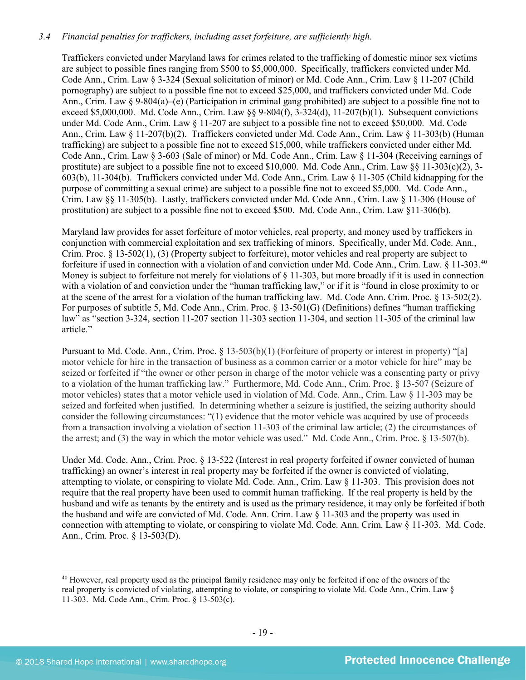# *3.4 Financial penalties for traffickers, including asset forfeiture, are sufficiently high.*

Traffickers convicted under Maryland laws for crimes related to the trafficking of domestic minor sex victims are subject to possible fines ranging from \$500 to \$5,000,000. Specifically, traffickers convicted under Md. Code Ann., Crim. Law § 3-324 (Sexual solicitation of minor) or Md. Code Ann., Crim. Law § 11-207 (Child pornography) are subject to a possible fine not to exceed \$25,000, and traffickers convicted under Md. Code Ann., Crim. Law § 9-804(a)–(e) (Participation in criminal gang prohibited) are subject to a possible fine not to exceed \$5,000,000. Md. Code Ann., Crim. Law §§ 9-804(f), 3-324(d), 11-207(b)(1). Subsequent convictions under Md. Code Ann., Crim. Law § 11-207 are subject to a possible fine not to exceed \$50,000. Md. Code Ann., Crim. Law § 11-207(b)(2). Traffickers convicted under Md. Code Ann., Crim. Law § 11-303(b) (Human trafficking) are subject to a possible fine not to exceed \$15,000, while traffickers convicted under either Md. Code Ann., Crim. Law § 3-603 (Sale of minor) or Md. Code Ann., Crim. Law § 11-304 (Receiving earnings of prostitute) are subject to a possible fine not to exceed \$10,000. Md. Code Ann., Crim. Law  $\S$  11-303(c)(2), 3-603(b), 11-304(b). Traffickers convicted under Md. Code Ann., Crim. Law § 11-305 (Child kidnapping for the purpose of committing a sexual crime) are subject to a possible fine not to exceed \$5,000. Md. Code Ann., Crim. Law §§ 11-305(b). Lastly, traffickers convicted under Md. Code Ann., Crim. Law § 11-306 (House of prostitution) are subject to a possible fine not to exceed \$500. Md. Code Ann., Crim. Law §11-306(b).

<span id="page-18-1"></span>Maryland law provides for asset forfeiture of motor vehicles, real property, and money used by traffickers in conjunction with commercial exploitation and sex trafficking of minors. Specifically, under Md. Code. Ann., Crim. Proc. § 13-502(1), (3) (Property subject to forfeiture), motor vehicles and real property are subject to forfeiture if used in connection with a violation of and conviction under Md. Code Ann., Crim. Law. § 11-303.[40](#page-18-0) Money is subject to forfeiture not merely for violations of  $\S$  11-303, but more broadly if it is used in connection with a violation of and conviction under the "human trafficking law," or if it is "found in close proximity to or at the scene of the arrest for a violation of the human trafficking law. Md. Code Ann. Crim. Proc. § 13-502(2). For purposes of subtitle 5, Md. Code Ann., Crim. Proc. § 13-501(G) (Definitions) defines "human trafficking law" as "section 3-324, section 11-207 section 11-303 section 11-304, and section 11-305 of the criminal law article."

Pursuant to Md. Code. Ann., Crim. Proc. § 13-503(b)(1) (Forfeiture of property or interest in property) "[a] motor vehicle for hire in the transaction of business as a common carrier or a motor vehicle for hire" may be seized or forfeited if "the owner or other person in charge of the motor vehicle was a consenting party or privy to a violation of the human trafficking law." Furthermore, Md. Code Ann., Crim. Proc. § 13-507 (Seizure of motor vehicles) states that a motor vehicle used in violation of Md. Code. Ann., Crim. Law § 11-303 may be seized and forfeited when justified. In determining whether a seizure is justified, the seizing authority should consider the following circumstances: "(1) evidence that the motor vehicle was acquired by use of proceeds from a transaction involving a violation of section 11-303 of the criminal law article; (2) the circumstances of the arrest; and (3) the way in which the motor vehicle was used." Md. Code Ann., Crim. Proc. § 13-507(b).

Under Md. Code. Ann., Crim. Proc. § 13-522 (Interest in real property forfeited if owner convicted of human trafficking) an owner's interest in real property may be forfeited if the owner is convicted of violating, attempting to violate, or conspiring to violate Md. Code. Ann., Crim. Law § 11-303. This provision does not require that the real property have been used to commit human trafficking. If the real property is held by the husband and wife as tenants by the entirety and is used as the primary residence, it may only be forfeited if both the husband and wife are convicted of Md. Code. Ann. Crim. Law § 11-303 and the property was used in connection with attempting to violate, or conspiring to violate Md. Code. Ann. Crim. Law § 11-303. Md. Code. Ann., Crim. Proc. § 13-503(D).

<span id="page-18-0"></span><sup>&</sup>lt;sup>40</sup> However, real property used as the principal family residence may only be forfeited if one of the owners of the real property is convicted of violating, attempting to violate, or conspiring to violate Md. Code Ann., Crim. Law § 11-303. Md. Code Ann., Crim. Proc. § 13-503(c).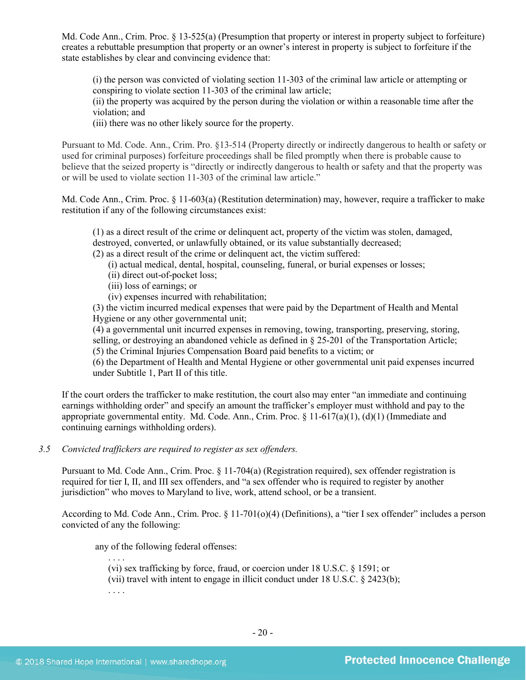Md. Code Ann., Crim. Proc. § 13-525(a) (Presumption that property or interest in property subject to forfeiture) creates a rebuttable presumption that property or an owner's interest in property is subject to forfeiture if the state establishes by clear and convincing evidence that:

(i) the person was convicted of violating section 11-303 of the criminal law article or attempting or conspiring to violate section 11-303 of the criminal law article;

(ii) the property was acquired by the person during the violation or within a reasonable time after the violation; and

(iii) there was no other likely source for the property.

Pursuant to Md. Code. Ann., Crim. Pro. §13-514 (Property directly or indirectly dangerous to health or safety or used for criminal purposes) forfeiture proceedings shall be filed promptly when there is probable cause to believe that the seized property is "directly or indirectly dangerous to health or safety and that the property was or will be used to violate section 11-303 of the criminal law article."

Md. Code Ann., Crim. Proc. § 11-603(a) (Restitution determination) may, however, require a trafficker to make restitution if any of the following circumstances exist:

(1) as a direct result of the crime or delinquent act, property of the victim was stolen, damaged, destroyed, converted, or unlawfully obtained, or its value substantially decreased;

(2) as a direct result of the crime or delinquent act, the victim suffered:

- (i) actual medical, dental, hospital, counseling, funeral, or burial expenses or losses;
- (ii) direct out-of-pocket loss;
- (iii) loss of earnings; or

(iv) expenses incurred with rehabilitation;

(3) the victim incurred medical expenses that were paid by the Department of Health and Mental Hygiene or any other governmental unit;

(4) a governmental unit incurred expenses in removing, towing, transporting, preserving, storing, selling, or destroying an abandoned vehicle as defined in § 25-201 of the Transportation Article;

(5) the Criminal Injuries Compensation Board paid benefits to a victim; or

(6) the Department of Health and Mental Hygiene or other governmental unit paid expenses incurred under Subtitle 1, Part II of this title.

If the court orders the trafficker to make restitution, the court also may enter "an immediate and continuing earnings withholding order" and specify an amount the trafficker's employer must withhold and pay to the appropriate governmental entity. Md. Code. Ann., Crim. Proc. § 11-617(a)(1), (d)(1) (Immediate and continuing earnings withholding orders).

# *3.5 Convicted traffickers are required to register as sex offenders.*

Pursuant to Md. Code Ann., Crim. Proc. § 11-704(a) (Registration required), sex offender registration is required for tier I, II, and III sex offenders, and "a sex offender who is required to register by another jurisdiction" who moves to Maryland to live, work, attend school, or be a transient.

According to Md. Code Ann., Crim. Proc. § 11-701(o)(4) (Definitions), a "tier I sex offender" includes a person convicted of any the following:

any of the following federal offenses:

. . . . (vi) sex trafficking by force, fraud, or coercion under 18 U.S.C. § 1591; or

(vii) travel with intent to engage in illicit conduct under 18 U.S.C. § 2423(b);

. . . .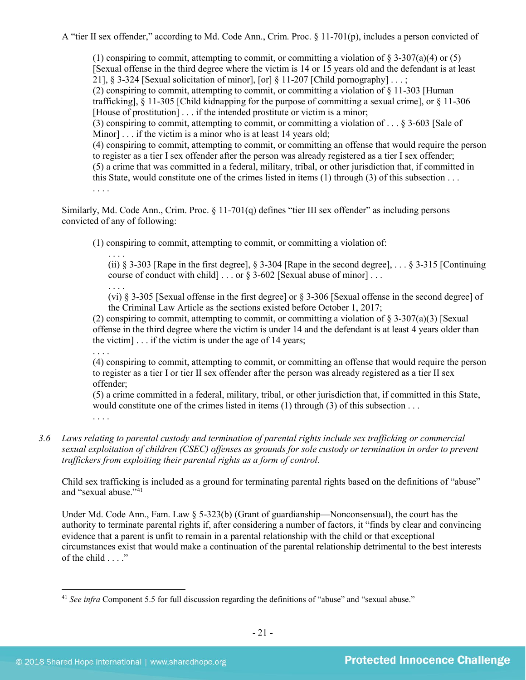A "tier II sex offender," according to Md. Code Ann., Crim. Proc. § 11-701(p), includes a person convicted of

(1) conspiring to commit, attempting to commit, or committing a violation of  $\S 3-307(a)(4)$  or (5) [Sexual offense in the third degree where the victim is 14 or 15 years old and the defendant is at least 21], § 3-324 [Sexual solicitation of minor], [or] § 11-207 [Child pornography] ...; (2) conspiring to commit, attempting to commit, or committing a violation of § 11-303 [Human trafficking], § 11-305 [Child kidnapping for the purpose of committing a sexual crime], or § 11-306 [House of prostitution] . . . if the intended prostitute or victim is a minor; (3) conspiring to commit, attempting to commit, or committing a violation of . . . § 3-603 [Sale of Minorl . . . if the victim is a minor who is at least 14 years old; (4) conspiring to commit, attempting to commit, or committing an offense that would require the person to register as a tier I sex offender after the person was already registered as a tier I sex offender; (5) a crime that was committed in a federal, military, tribal, or other jurisdiction that, if committed in this State, would constitute one of the crimes listed in items (1) through (3) of this subsection . . . . . . .

Similarly, Md. Code Ann., Crim. Proc. § 11-701(q) defines "tier III sex offender" as including persons convicted of any of following:

(1) conspiring to commit, attempting to commit, or committing a violation of:

. . . . (ii)  $\S$  3-303 [Rape in the first degree],  $\S$  3-304 [Rape in the second degree], ...  $\S$  3-315 [Continuing] course of conduct with child] . . . or § 3-602 [Sexual abuse of minor] . . .

. . . . (vi) § 3-305 [Sexual offense in the first degree] or § 3-306 [Sexual offense in the second degree] of the Criminal Law Article as the sections existed before October 1, 2017;

(2) conspiring to commit, attempting to commit, or committing a violation of  $\S 3-307(a)(3)$  [Sexual] offense in the third degree where the victim is under 14 and the defendant is at least 4 years older than the victim]  $\ldots$  if the victim is under the age of 14 years;

. . . . (4) conspiring to commit, attempting to commit, or committing an offense that would require the person to register as a tier I or tier II sex offender after the person was already registered as a tier II sex offender;

(5) a crime committed in a federal, military, tribal, or other jurisdiction that, if committed in this State, would constitute one of the crimes listed in items (1) through (3) of this subsection . . . . . . .

*3.6 Laws relating to parental custody and termination of parental rights include sex trafficking or commercial sexual exploitation of children (CSEC) offenses as grounds for sole custody or termination in order to prevent traffickers from exploiting their parental rights as a form of control.* 

Child sex trafficking is included as a ground for terminating parental rights based on the definitions of "abuse" and "sexual abuse."<sup>[41](#page-20-0)</sup>

Under Md. Code Ann., Fam. Law § 5-323(b) (Grant of guardianship—Nonconsensual), the court has the authority to terminate parental rights if, after considering a number of factors, it "finds by clear and convincing evidence that a parent is unfit to remain in a parental relationship with the child or that exceptional circumstances exist that would make a continuation of the parental relationship detrimental to the best interests of the child . . . ."

<span id="page-20-0"></span><sup>&</sup>lt;sup>41</sup> See infra Component 5.5 for full discussion regarding the definitions of "abuse" and "sexual abuse."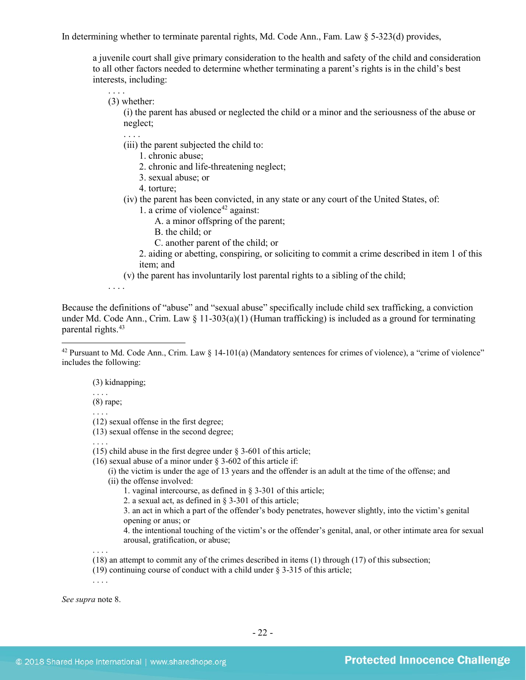In determining whether to terminate parental rights, Md. Code Ann., Fam. Law § 5-323(d) provides,

a juvenile court shall give primary consideration to the health and safety of the child and consideration to all other factors needed to determine whether terminating a parent's rights is in the child's best interests, including:

(3) whether:

. . . .

(i) the parent has abused or neglected the child or a minor and the seriousness of the abuse or neglect;

- (iii) the parent subjected the child to:
	- 1. chronic abuse;
	- 2. chronic and life-threatening neglect;
	- 3. sexual abuse; or
	- 4. torture;
- (iv) the parent has been convicted, in any state or any court of the United States, of:
	- 1. a crime of violence $42$  against:
		- A. a minor offspring of the parent;
		- B. the child; or
		- C. another parent of the child; or

2. aiding or abetting, conspiring, or soliciting to commit a crime described in item 1 of this item; and

(v) the parent has involuntarily lost parental rights to a sibling of the child;

. . . .

Because the definitions of "abuse" and "sexual abuse" specifically include child sex trafficking, a conviction under Md. Code Ann., Crim. Law  $\S$  11-303(a)(1) (Human trafficking) is included as a ground for terminating parental rights[.43](#page-21-1)

(3) kidnapping;

(8) rape;

. . . .

 $\overline{\phantom{a}}$ 

. . . . (12) sexual offense in the first degree;

(13) sexual offense in the second degree;

. . . .

- (15) child abuse in the first degree under § 3-601 of this article;
- (16) sexual abuse of a minor under  $\S$  3-602 of this article if:
	- (i) the victim is under the age of 13 years and the offender is an adult at the time of the offense; and (ii) the offense involved:
		- 1. vaginal intercourse, as defined in § 3-301 of this article;
		- 2. a sexual act, as defined in § 3-301 of this article;
		- 3. an act in which a part of the offender's body penetrates, however slightly, into the victim's genital opening or anus; or
		- 4. the intentional touching of the victim's or the offender's genital, anal, or other intimate area for sexual arousal, gratification, or abuse;
- (18) an attempt to commit any of the crimes described in items (1) through (17) of this subsection;
- (19) continuing course of conduct with a child under § 3-315 of this article;

. . . .

. . . .

<span id="page-21-1"></span>*See supra* note [8.](#page-3-0)

<span id="page-21-0"></span><sup>&</sup>lt;sup>42</sup> Pursuant to Md. Code Ann., Crim. Law  $\S 14-101(a)$  (Mandatory sentences for crimes of violence), a "crime of violence" includes the following: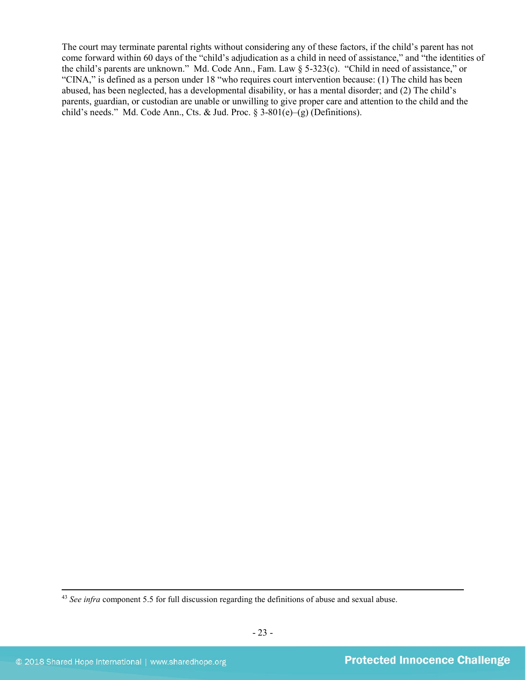The court may terminate parental rights without considering any of these factors, if the child's parent has not come forward within 60 days of the "child's adjudication as a child in need of assistance," and "the identities of the child's parents are unknown." Md. Code Ann., Fam. Law § 5-323(c). "Child in need of assistance," or "CINA," is defined as a person under 18 "who requires court intervention because: (1) The child has been abused, has been neglected, has a developmental disability, or has a mental disorder; and (2) The child's parents, guardian, or custodian are unable or unwilling to give proper care and attention to the child and the child's needs." Md. Code Ann., Cts. & Jud. Proc. §  $3-801(e) - (g)$  (Definitions).

<sup>43</sup> *See infra* component 5.5 for full discussion regarding the definitions of abuse and sexual abuse.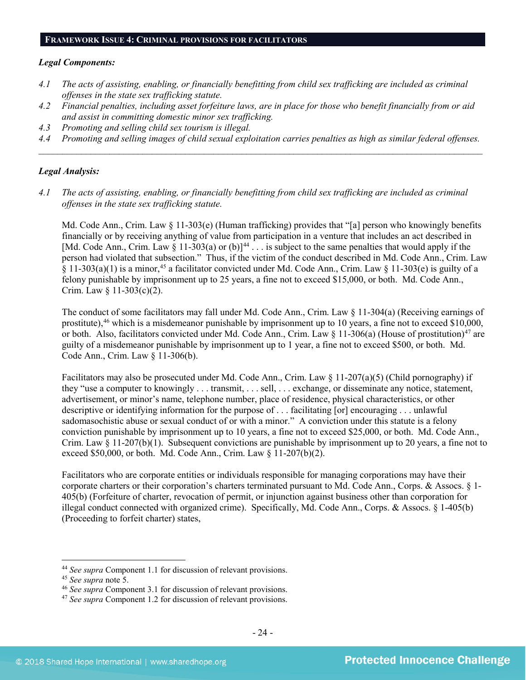#### **FRAMEWORK ISSUE 4: CRIMINAL PROVISIONS FOR FACILITATORS**

#### *Legal Components:*

- *4.1 The acts of assisting, enabling, or financially benefitting from child sex trafficking are included as criminal offenses in the state sex trafficking statute.*
- *4.2 Financial penalties, including asset forfeiture laws, are in place for those who benefit financially from or aid and assist in committing domestic minor sex trafficking.*
- *4.3 Promoting and selling child sex tourism is illegal.*
- *4.4 Promoting and selling images of child sexual exploitation carries penalties as high as similar federal offenses. \_\_\_\_\_\_\_\_\_\_\_\_\_\_\_\_\_\_\_\_\_\_\_\_\_\_\_\_\_\_\_\_\_\_\_\_\_\_\_\_\_\_\_\_\_\_\_\_\_\_\_\_\_\_\_\_\_\_\_\_\_\_\_\_\_\_\_\_\_\_\_\_\_\_\_\_\_\_\_\_\_\_\_\_\_\_\_\_\_\_\_\_\_\_*

#### *Legal Analysis:*

*4.1 The acts of assisting, enabling, or financially benefitting from child sex trafficking are included as criminal offenses in the state sex trafficking statute.*

Md. Code Ann., Crim. Law § 11-303(e) (Human trafficking) provides that "[a] person who knowingly benefits financially or by receiving anything of value from participation in a venture that includes an act described in [Md. Code Ann., Crim. Law  $\zeta$  11-303(a) or (b)]<sup>[44](#page-23-0)</sup> . . . is subject to the same penalties that would apply if the person had violated that subsection." Thus, if the victim of the conduct described in Md. Code Ann., Crim. Law § 11-303(a)(1) is a minor,<sup>45</sup> a facilitator convicted under Md. Code Ann., Crim. Law § 11-303(e) is guilty of a felony punishable by imprisonment up to 25 years, a fine not to exceed \$15,000, or both. Md. Code Ann., Crim. Law § 11-303(c)(2).

The conduct of some facilitators may fall under Md. Code Ann., Crim. Law § 11-304(a) (Receiving earnings of prostitute),<sup>46</sup> which is a misdemeanor punishable by imprisonment up to 10 years, a fine not to exceed \$10,000, or both. Also, facilitators convicted under Md. Code Ann., Crim. Law  $\S 11-306(a)$  (House of prostitution)<sup>[47](#page-23-3)</sup> are guilty of a misdemeanor punishable by imprisonment up to 1 year, a fine not to exceed \$500, or both. Md. Code Ann., Crim. Law § 11-306(b).

Facilitators may also be prosecuted under Md. Code Ann., Crim. Law § 11-207(a)(5) (Child pornography) if they "use a computer to knowingly . . . transmit, . . . sell, . . . exchange, or disseminate any notice, statement, advertisement, or minor's name, telephone number, place of residence, physical characteristics, or other descriptive or identifying information for the purpose of . . . facilitating [or] encouraging . . . unlawful sadomasochistic abuse or sexual conduct of or with a minor." A conviction under this statute is a felony conviction punishable by imprisonment up to 10 years, a fine not to exceed \$25,000, or both. Md. Code Ann., Crim. Law § 11-207(b)(1). Subsequent convictions are punishable by imprisonment up to 20 years, a fine not to exceed \$50,000, or both. Md. Code Ann., Crim. Law § 11-207(b)(2).

Facilitators who are corporate entities or individuals responsible for managing corporations may have their corporate charters or their corporation's charters terminated pursuant to Md. Code Ann., Corps. & Assocs. § 1- 405(b) (Forfeiture of charter, revocation of permit, or injunction against business other than corporation for illegal conduct connected with organized crime). Specifically, Md. Code Ann., Corps. & Assocs. § 1-405(b) (Proceeding to forfeit charter) states,

<span id="page-23-0"></span><sup>44</sup> *See supra* Component 1.1 for discussion of relevant provisions.

<span id="page-23-1"></span>

<span id="page-23-2"></span><sup>&</sup>lt;sup>46</sup> *See supra* Component 3.1 for discussion of relevant provisions.

<span id="page-23-3"></span><sup>47</sup> *See supra* Component 1.2 for discussion of relevant provisions.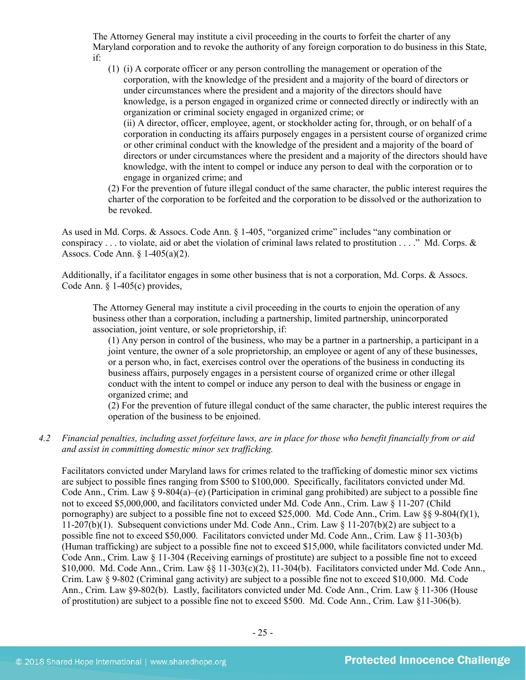The Attorney General may institute a civil proceeding in the courts to forfeit the charter of any Maryland corporation and to revoke the authority of any foreign corporation to do business in this State, if:

(1) (i) A corporate officer or any person controlling the management or operation of the corporation, with the knowledge of the president and a majority of the board of directors or under circumstances where the president and a majority of the directors should have knowledge, is a person engaged in organized crime or connected directly or indirectly with an organization or criminal society engaged in organized crime; or (ii) A director, officer, employee, agent, or stockholder acting for, through, or on behalf of a corporation in conducting its affairs purposely engages in a persistent course of organized crime

or other criminal conduct with the knowledge of the president and a majority of the board of directors or under circumstances where the president and a majority of the directors should have knowledge, with the intent to compel or induce any person to deal with the corporation or to engage in organized crime; and

(2) For the prevention of future illegal conduct of the same character, the public interest requires the charter of the corporation to be forfeited and the corporation to be dissolved or the authorization to be revoked.

As used in Md. Corps. & Assocs. Code Ann. § 1-405, "organized crime" includes "any combination or conspiracy  $\dots$  to violate, aid or abet the violation of criminal laws related to prostitution  $\dots$ ." Md. Corps.  $\&$ Assocs. Code Ann. § 1-405(a)(2).

Additionally, if a facilitator engages in some other business that is not a corporation, Md. Corps. & Assocs. Code Ann. § 1-405(c) provides,

The Attorney General may institute a civil proceeding in the courts to enjoin the operation of any business other than a corporation, including a partnership, limited partnership, unincorporated association, joint venture, or sole proprietorship, if:

(1) Any person in control of the business, who may be a partner in a partnership, a participant in a joint venture, the owner of a sole proprietorship, an employee or agent of any of these businesses, or a person who, in fact, exercises control over the operations of the business in conducting its business affairs, purposely engages in a persistent course of organized crime or other illegal conduct with the intent to compel or induce any person to deal with the business or engage in organized crime; and

(2) For the prevention of future illegal conduct of the same character, the public interest requires the operation of the business to be enjoined.

*4.2 Financial penalties, including asset forfeiture laws, are in place for those who benefit financially from or aid and assist in committing domestic minor sex trafficking.*

Facilitators convicted under Maryland laws for crimes related to the trafficking of domestic minor sex victims are subject to possible fines ranging from \$500 to \$100,000. Specifically, facilitators convicted under Md. Code Ann., Crim. Law § 9-804(a)–(e) (Participation in criminal gang prohibited) are subject to a possible fine not to exceed \$5,000,000, and facilitators convicted under Md. Code Ann., Crim. Law § 11-207 (Child pornography) are subject to a possible fine not to exceed \$25,000. Md. Code Ann., Crim. Law §§ 9-804(f)(1), 11-207(b)(1). Subsequent convictions under Md. Code Ann., Crim. Law § 11-207(b)(2) are subject to a possible fine not to exceed \$50,000. Facilitators convicted under Md. Code Ann., Crim. Law § 11-303(b) (Human trafficking) are subject to a possible fine not to exceed \$15,000, while facilitators convicted under Md. Code Ann., Crim. Law § 11-304 (Receiving earnings of prostitute) are subject to a possible fine not to exceed \$10,000. Md. Code Ann., Crim. Law  $\S$  11-303(c)(2), 11-304(b). Facilitators convicted under Md. Code Ann. Crim. Law § 9-802 (Criminal gang activity) are subject to a possible fine not to exceed \$10,000. Md. Code Ann., Crim. Law §9-802(b). Lastly, facilitators convicted under Md. Code Ann., Crim. Law § 11-306 (House of prostitution) are subject to a possible fine not to exceed \$500. Md. Code Ann., Crim. Law §11-306(b).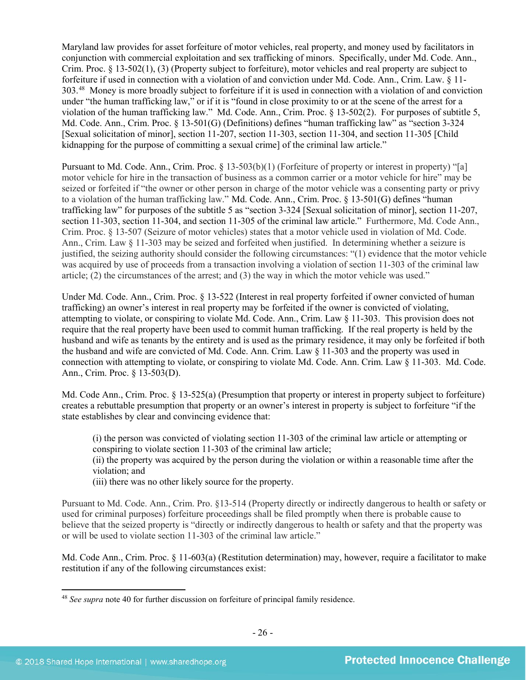Maryland law provides for asset forfeiture of motor vehicles, real property, and money used by facilitators in conjunction with commercial exploitation and sex trafficking of minors. Specifically, under Md. Code. Ann., Crim. Proc. § 13-502(1), (3) (Property subject to forfeiture), motor vehicles and real property are subject to forfeiture if used in connection with a violation of and conviction under Md. Code. Ann., Crim. Law. § 11- 303.[48](#page-25-0) Money is more broadly subject to forfeiture if it is used in connection with a violation of and conviction under "the human trafficking law," or if it is "found in close proximity to or at the scene of the arrest for a violation of the human trafficking law." Md. Code. Ann., Crim. Proc. § 13-502(2). For purposes of subtitle 5, Md. Code. Ann., Crim. Proc. § 13-501(G) (Definitions) defines "human trafficking law" as "section 3-324 [Sexual solicitation of minor], section 11-207, section 11-303, section 11-304, and section 11-305 [Child kidnapping for the purpose of committing a sexual crime] of the criminal law article."

Pursuant to Md. Code. Ann., Crim. Proc. § 13-503(b)(1) (Forfeiture of property or interest in property) "[a] motor vehicle for hire in the transaction of business as a common carrier or a motor vehicle for hire" may be seized or forfeited if "the owner or other person in charge of the motor vehicle was a consenting party or privy to a violation of the human trafficking law." Md. Code. Ann., Crim. Proc. § 13-501(G) defines "human trafficking law" for purposes of the subtitle 5 as "section 3-324 [Sexual solicitation of minor], section 11-207, section 11-303, section 11-304, and section 11-305 of the criminal law article." Furthermore, Md. Code Ann., Crim. Proc. § 13-507 (Seizure of motor vehicles) states that a motor vehicle used in violation of Md. Code. Ann., Crim. Law § 11-303 may be seized and forfeited when justified. In determining whether a seizure is justified, the seizing authority should consider the following circumstances: "(1) evidence that the motor vehicle was acquired by use of proceeds from a transaction involving a violation of section 11-303 of the criminal law article; (2) the circumstances of the arrest; and (3) the way in which the motor vehicle was used."

Under Md. Code. Ann., Crim. Proc. § 13-522 (Interest in real property forfeited if owner convicted of human trafficking) an owner's interest in real property may be forfeited if the owner is convicted of violating, attempting to violate, or conspiring to violate Md. Code. Ann., Crim. Law § 11-303. This provision does not require that the real property have been used to commit human trafficking. If the real property is held by the husband and wife as tenants by the entirety and is used as the primary residence, it may only be forfeited if both the husband and wife are convicted of Md. Code. Ann. Crim. Law § 11-303 and the property was used in connection with attempting to violate, or conspiring to violate Md. Code. Ann. Crim. Law § 11-303. Md. Code. Ann., Crim. Proc. § 13-503(D).

Md. Code Ann., Crim. Proc. § 13-525(a) (Presumption that property or interest in property subject to forfeiture) creates a rebuttable presumption that property or an owner's interest in property is subject to forfeiture "if the state establishes by clear and convincing evidence that:

(i) the person was convicted of violating section 11-303 of the criminal law article or attempting or conspiring to violate section 11-303 of the criminal law article;

(ii) the property was acquired by the person during the violation or within a reasonable time after the violation; and

(iii) there was no other likely source for the property.

Pursuant to Md. Code. Ann., Crim. Pro. §13-514 (Property directly or indirectly dangerous to health or safety or used for criminal purposes) forfeiture proceedings shall be filed promptly when there is probable cause to believe that the seized property is "directly or indirectly dangerous to health or safety and that the property was or will be used to violate section 11-303 of the criminal law article."

Md. Code Ann., Crim. Proc. § 11-603(a) (Restitution determination) may, however, require a facilitator to make restitution if any of the following circumstances exist:

<span id="page-25-0"></span><sup>48</sup> *See supra* note [40](#page-18-1) for further discussion on forfeiture of principal family residence.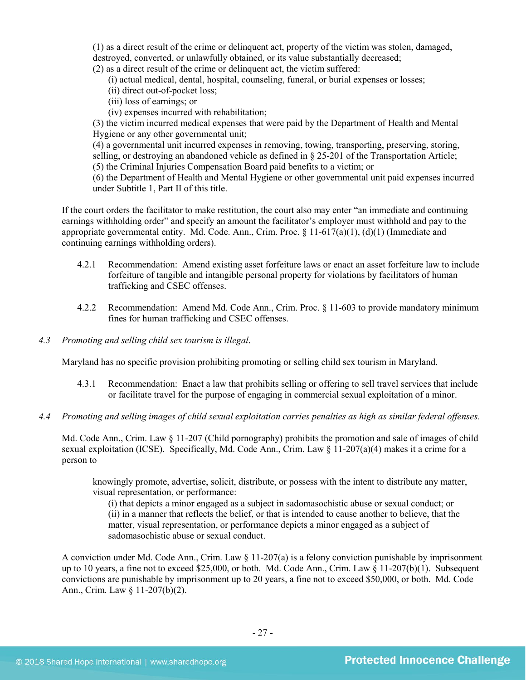(1) as a direct result of the crime or delinquent act, property of the victim was stolen, damaged, destroyed, converted, or unlawfully obtained, or its value substantially decreased; (2) as a direct result of the crime or delinquent act, the victim suffered:

(i) actual medical, dental, hospital, counseling, funeral, or burial expenses or losses;

- (ii) direct out-of-pocket loss;
- (iii) loss of earnings; or
- (iv) expenses incurred with rehabilitation;

(3) the victim incurred medical expenses that were paid by the Department of Health and Mental Hygiene or any other governmental unit;

(4) a governmental unit incurred expenses in removing, towing, transporting, preserving, storing, selling, or destroying an abandoned vehicle as defined in § 25-201 of the Transportation Article;

(5) the Criminal Injuries Compensation Board paid benefits to a victim; or

(6) the Department of Health and Mental Hygiene or other governmental unit paid expenses incurred under Subtitle 1, Part II of this title.

If the court orders the facilitator to make restitution, the court also may enter "an immediate and continuing earnings withholding order" and specify an amount the facilitator's employer must withhold and pay to the appropriate governmental entity. Md. Code. Ann., Crim. Proc.  $\S 11-617(a)(1)$ , (d)(1) (Immediate and continuing earnings withholding orders).

- 4.2.1 Recommendation: Amend existing asset forfeiture laws or enact an asset forfeiture law to include forfeiture of tangible and intangible personal property for violations by facilitators of human trafficking and CSEC offenses.
- 4.2.2 Recommendation: Amend Md. Code Ann., Crim. Proc. § 11-603 to provide mandatory minimum fines for human trafficking and CSEC offenses.
- *4.3 Promoting and selling child sex tourism is illegal*.

Maryland has no specific provision prohibiting promoting or selling child sex tourism in Maryland.

- 4.3.1 Recommendation: Enact a law that prohibits selling or offering to sell travel services that include or facilitate travel for the purpose of engaging in commercial sexual exploitation of a minor.
- *4.4 Promoting and selling images of child sexual exploitation carries penalties as high as similar federal offenses.*

Md. Code Ann., Crim. Law § 11-207 (Child pornography) prohibits the promotion and sale of images of child sexual exploitation (ICSE). Specifically, Md. Code Ann., Crim. Law  $\S$  11-207(a)(4) makes it a crime for a person to

knowingly promote, advertise, solicit, distribute, or possess with the intent to distribute any matter, visual representation, or performance:

(i) that depicts a minor engaged as a subject in sadomasochistic abuse or sexual conduct; or (ii) in a manner that reflects the belief, or that is intended to cause another to believe, that the matter, visual representation, or performance depicts a minor engaged as a subject of sadomasochistic abuse or sexual conduct.

A conviction under Md. Code Ann., Crim. Law § 11-207(a) is a felony conviction punishable by imprisonment up to 10 years, a fine not to exceed \$25,000, or both. Md. Code Ann., Crim. Law § 11-207(b)(1). Subsequent convictions are punishable by imprisonment up to 20 years, a fine not to exceed \$50,000, or both. Md. Code Ann., Crim. Law § 11-207(b)(2).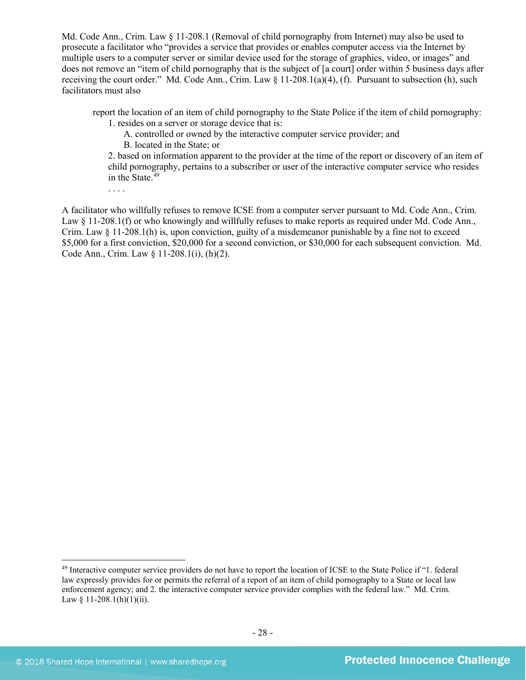Md. Code Ann., Crim. Law § 11-208.1 (Removal of child pornography from Internet) may also be used to prosecute a facilitator who "provides a service that provides or enables computer access via the Internet by multiple users to a computer server or similar device used for the storage of graphics, video, or images" and does not remove an "item of child pornography that is the subject of [a court] order within 5 business days after receiving the court order." Md. Code Ann., Crim. Law § 11-208.1(a)(4), (f). Pursuant to subsection (h), such facilitators must also

report the location of an item of child pornography to the State Police if the item of child pornography:

1. resides on a server or storage device that is:

A. controlled or owned by the interactive computer service provider; and B. located in the State; or

2. based on information apparent to the provider at the time of the report or discovery of an item of child pornography, pertains to a subscriber or user of the interactive computer service who resides in the State.<sup>[49](#page-27-0)</sup>

A facilitator who willfully refuses to remove ICSE from a computer server pursuant to Md. Code Ann., Crim. Law § 11-208.1(f) or who knowingly and willfully refuses to make reports as required under Md. Code Ann., Crim. Law  $\S$  11-208.1(h) is, upon conviction, guilty of a misdemeanor punishable by a fine not to exceed \$5,000 for a first conviction, \$20,000 for a second conviction, or \$30,000 for each subsequent conviction. Md. Code Ann., Crim. Law § 11-208.1(i), (h)(2).

<span id="page-27-0"></span><sup>&</sup>lt;sup>49</sup> Interactive computer service providers do not have to report the location of ICSE to the State Police if "1. federal law expressly provides for or permits the referral of a report of an item of child pornography to a State or local law enforcement agency; and 2. the interactive computer service provider complies with the federal law." Md. Crim. Law § 11-208.1(h)(1)(ii).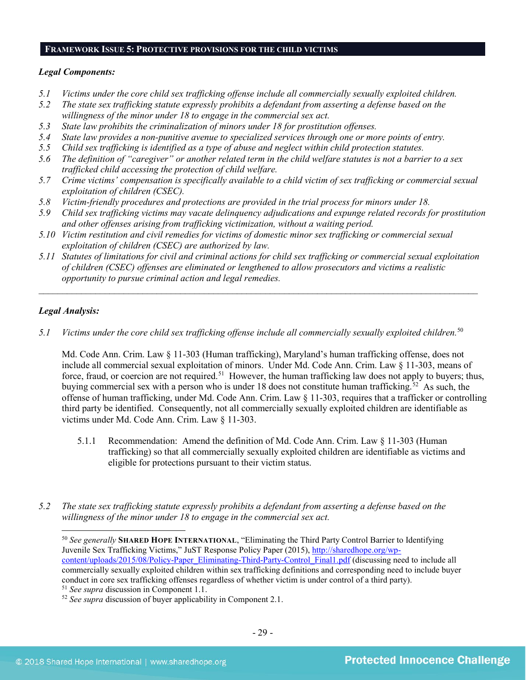#### **FRAMEWORK ISSUE 5: PROTECTIVE PROVISIONS FOR THE CHILD VICTIMS**

#### *Legal Components:*

- *5.1 Victims under the core child sex trafficking offense include all commercially sexually exploited children.*
- *5.2 The state sex trafficking statute expressly prohibits a defendant from asserting a defense based on the willingness of the minor under 18 to engage in the commercial sex act.*
- *5.3 State law prohibits the criminalization of minors under 18 for prostitution offenses.*
- *5.4 State law provides a non-punitive avenue to specialized services through one or more points of entry.*
- *5.5 Child sex trafficking is identified as a type of abuse and neglect within child protection statutes.*
- *5.6 The definition of "caregiver" or another related term in the child welfare statutes is not a barrier to a sex trafficked child accessing the protection of child welfare.*
- *5.7 Crime victims' compensation is specifically available to a child victim of sex trafficking or commercial sexual exploitation of children (CSEC).*
- *5.8 Victim-friendly procedures and protections are provided in the trial process for minors under 18.*
- *5.9 Child sex trafficking victims may vacate delinquency adjudications and expunge related records for prostitution and other offenses arising from trafficking victimization, without a waiting period.*
- *5.10 Victim restitution and civil remedies for victims of domestic minor sex trafficking or commercial sexual exploitation of children (CSEC) are authorized by law.*
- *5.11 Statutes of limitations for civil and criminal actions for child sex trafficking or commercial sexual exploitation of children (CSEC) offenses are eliminated or lengthened to allow prosecutors and victims a realistic opportunity to pursue criminal action and legal remedies.*

*\_\_\_\_\_\_\_\_\_\_\_\_\_\_\_\_\_\_\_\_\_\_\_\_\_\_\_\_\_\_\_\_\_\_\_\_\_\_\_\_\_\_\_\_\_\_\_\_\_\_\_\_\_\_\_\_\_\_\_\_\_\_\_\_\_\_\_\_\_\_\_\_\_\_\_\_\_\_\_\_\_\_\_\_\_\_\_\_\_\_\_\_\_*

# *Legal Analysis:*

 $\overline{\phantom{a}}$ 

5.1 Victims under the core child sex trafficking offense include all commercially sexually exploited children.<sup>[50](#page-28-0)</sup>

Md. Code Ann. Crim. Law § 11-303 (Human trafficking), Maryland's human trafficking offense, does not include all commercial sexual exploitation of minors. Under Md. Code Ann. Crim. Law § 11-303, means of force, fraud, or coercion are not required.<sup>[51](#page-28-1)</sup> However, the human trafficking law does not apply to buyers; thus, buying commercial sex with a person who is under 18 does not constitute human trafficking. [52](#page-28-2) As such, the offense of human trafficking, under Md. Code Ann. Crim. Law § 11-303, requires that a trafficker or controlling third party be identified. Consequently, not all commercially sexually exploited children are identifiable as victims under Md. Code Ann. Crim. Law § 11-303.

- 5.1.1 Recommendation: Amend the definition of Md. Code Ann. Crim. Law § 11-303 (Human trafficking) so that all commercially sexually exploited children are identifiable as victims and eligible for protections pursuant to their victim status.
- <span id="page-28-0"></span>*5.2 The state sex trafficking statute expressly prohibits a defendant from asserting a defense based on the willingness of the minor under 18 to engage in the commercial sex act.*

<sup>50</sup> *See generally* **SHARED HOPE INTERNATIONAL**, "Eliminating the Third Party Control Barrier to Identifying Juvenile Sex Trafficking Victims," JuST Response Policy Paper (2015), [http://sharedhope.org/wp](http://sharedhope.org/wp-content/uploads/2015/08/Policy-Paper_Eliminating-Third-Party-Control_Final1.pdf)[content/uploads/2015/08/Policy-Paper\\_Eliminating-Third-Party-Control\\_Final1.pdf](http://sharedhope.org/wp-content/uploads/2015/08/Policy-Paper_Eliminating-Third-Party-Control_Final1.pdf) (discussing need to include all commercially sexually exploited children within sex trafficking definitions and corresponding need to include buyer conduct in core sex trafficking offenses regardless of whether victim is under control of a third party).

<span id="page-28-1"></span><sup>51</sup> *See supra* discussion in Component 1.1.

<span id="page-28-2"></span><sup>52</sup> *See supra* discussion of buyer applicability in Component 2.1.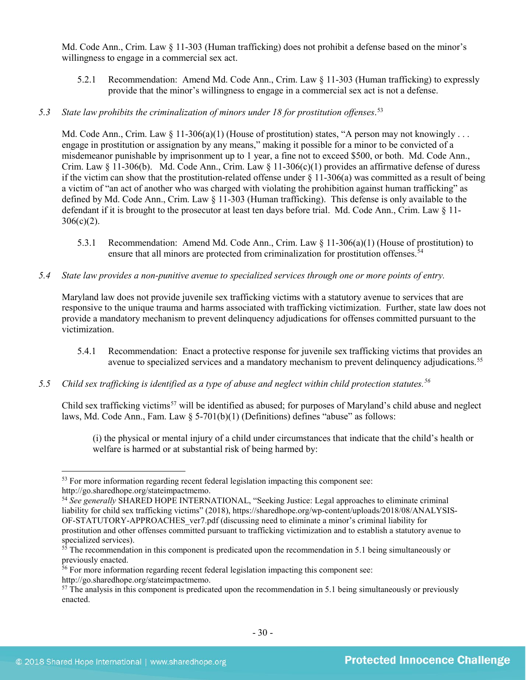Md. Code Ann., Crim. Law § 11-303 (Human trafficking) does not prohibit a defense based on the minor's willingness to engage in a commercial sex act.

- 5.2.1 Recommendation: Amend Md. Code Ann., Crim. Law § 11-303 (Human trafficking) to expressly provide that the minor's willingness to engage in a commercial sex act is not a defense.
- *5.3 State law prohibits the criminalization of minors under 18 for prostitution offenses*. [53](#page-29-0)

Md. Code Ann., Crim. Law  $\S 11-306(a)(1)$  (House of prostitution) states, "A person may not knowingly ... engage in prostitution or assignation by any means," making it possible for a minor to be convicted of a misdemeanor punishable by imprisonment up to 1 year, a fine not to exceed \$500, or both. Md. Code Ann., Crim. Law  $\S$  11-306(b). Md. Code Ann., Crim. Law  $\S$  11-306(c)(1) provides an affirmative defense of duress if the victim can show that the prostitution-related offense under  $\S$  11-306(a) was committed as a result of being a victim of "an act of another who was charged with violating the prohibition against human trafficking" as defined by Md. Code Ann., Crim. Law § 11-303 (Human trafficking). This defense is only available to the defendant if it is brought to the prosecutor at least ten days before trial. Md. Code Ann., Crim. Law  $\S 11$ - $306(c)(2)$ .

- 5.3.1 Recommendation: Amend Md. Code Ann., Crim. Law  $\S$  11-306(a)(1) (House of prostitution) to ensure that all minors are protected from criminalization for prostitution offenses.<sup>[54](#page-29-1)</sup>
- *5.4 State law provides a non-punitive avenue to specialized services through one or more points of entry.*

Maryland law does not provide juvenile sex trafficking victims with a statutory avenue to services that are responsive to the unique trauma and harms associated with trafficking victimization. Further, state law does not provide a mandatory mechanism to prevent delinquency adjudications for offenses committed pursuant to the victimization.

- 5.4.1 Recommendation: Enact a protective response for juvenile sex trafficking victims that provides an avenue to specialized services and a mandatory mechanism to prevent delinquency adjudications.<sup>[55](#page-29-2)</sup>
- *5.5 Child sex trafficking is identified as a type of abuse and neglect within child protection statutes.[56](#page-29-3)*

Child sex trafficking victims<sup>[57](#page-29-4)</sup> will be identified as abused; for purposes of Maryland's child abuse and neglect laws, Md. Code Ann., Fam. Law  $\S$  5-701(b)(1) (Definitions) defines "abuse" as follows:

(i) the physical or mental injury of a child under circumstances that indicate that the child's health or welfare is harmed or at substantial risk of being harmed by:

<span id="page-29-0"></span> $\overline{\phantom{a}}$ <sup>53</sup> For more information regarding recent federal legislation impacting this component see: http://go.sharedhope.org/stateimpactmemo.

<span id="page-29-1"></span><sup>54</sup> *See generally* SHARED HOPE INTERNATIONAL, "Seeking Justice: Legal approaches to eliminate criminal liability for child sex trafficking victims" (2018), https://sharedhope.org/wp-content/uploads/2018/08/ANALYSIS-OF-STATUTORY-APPROACHES\_ver7.pdf (discussing need to eliminate a minor's criminal liability for prostitution and other offenses committed pursuant to trafficking victimization and to establish a statutory avenue to specialized services).

<span id="page-29-2"></span> $55$  The recommendation in this component is predicated upon the recommendation in 5.1 being simultaneously or previously enacted.

<span id="page-29-3"></span><sup>&</sup>lt;sup>56</sup> For more information regarding recent federal legislation impacting this component see:

http://go.sharedhope.org/stateimpactmemo.

<span id="page-29-4"></span><sup>&</sup>lt;sup>57</sup> The analysis in this component is predicated upon the recommendation in 5.1 being simultaneously or previously enacted.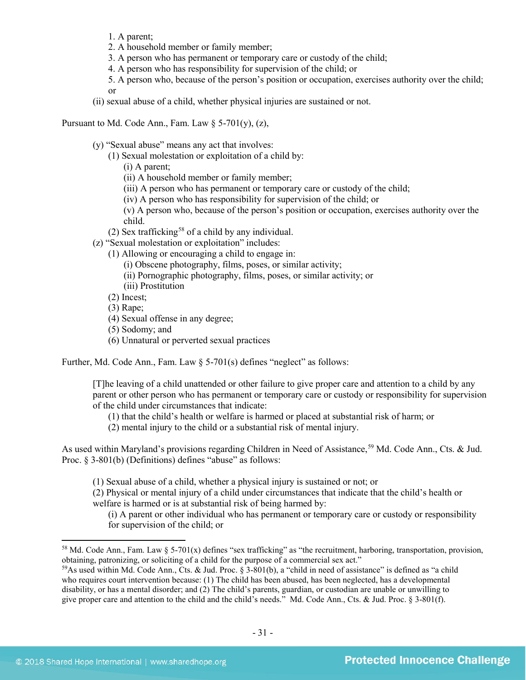- 1. A parent;
- 2. A household member or family member;
- 3. A person who has permanent or temporary care or custody of the child;
- 4. A person who has responsibility for supervision of the child; or
- 5. A person who, because of the person's position or occupation, exercises authority over the child; or
- (ii) sexual abuse of a child, whether physical injuries are sustained or not.

Pursuant to Md. Code Ann., Fam. Law  $\S$  5-701(y), (z),

(y) "Sexual abuse" means any act that involves:

(1) Sexual molestation or exploitation of a child by:

(i) A parent;

- (ii) A household member or family member;
- (iii) A person who has permanent or temporary care or custody of the child;
- (iv) A person who has responsibility for supervision of the child; or

(v) A person who, because of the person's position or occupation, exercises authority over the child.

- (2) Sex trafficking<sup>[58](#page-30-0)</sup> of a child by any individual.
- (z) "Sexual molestation or exploitation" includes:
	- (1) Allowing or encouraging a child to engage in:
		- (i) Obscene photography, films, poses, or similar activity;
		- (ii) Pornographic photography, films, poses, or similar activity; or
		- (iii) Prostitution
	- (2) Incest;
	- (3) Rape;
	- (4) Sexual offense in any degree;
	- (5) Sodomy; and
	- (6) Unnatural or perverted sexual practices

Further, Md. Code Ann., Fam. Law § 5-701(s) defines "neglect" as follows:

[T]he leaving of a child unattended or other failure to give proper care and attention to a child by any parent or other person who has permanent or temporary care or custody or responsibility for supervision of the child under circumstances that indicate:

- (1) that the child's health or welfare is harmed or placed at substantial risk of harm; or
- (2) mental injury to the child or a substantial risk of mental injury.

As used within Maryland's provisions regarding Children in Need of Assistance,<sup>[59](#page-30-1)</sup> Md. Code Ann., Cts. & Jud. Proc. § 3-801(b) (Definitions) defines "abuse" as follows:

(1) Sexual abuse of a child, whether a physical injury is sustained or not; or

(2) Physical or mental injury of a child under circumstances that indicate that the child's health or welfare is harmed or is at substantial risk of being harmed by:

(i) A parent or other individual who has permanent or temporary care or custody or responsibility for supervision of the child; or

<span id="page-30-0"></span><sup>&</sup>lt;sup>58</sup> Md. Code Ann., Fam. Law  $\S$  5-701(x) defines "sex trafficking" as "the recruitment, harboring, transportation, provision, obtaining, patronizing, or soliciting of a child for the purpose of a commercial sex act."

<span id="page-30-1"></span> $59$ As used within Md. Code Ann., Cts. & Jud. Proc. § 3-801(b), a "child in need of assistance" is defined as "a child who requires court intervention because: (1) The child has been abused, has been neglected, has a developmental disability, or has a mental disorder; and (2) The child's parents, guardian, or custodian are unable or unwilling to give proper care and attention to the child and the child's needs." Md. Code Ann., Cts. & Jud. Proc. § 3-801(f).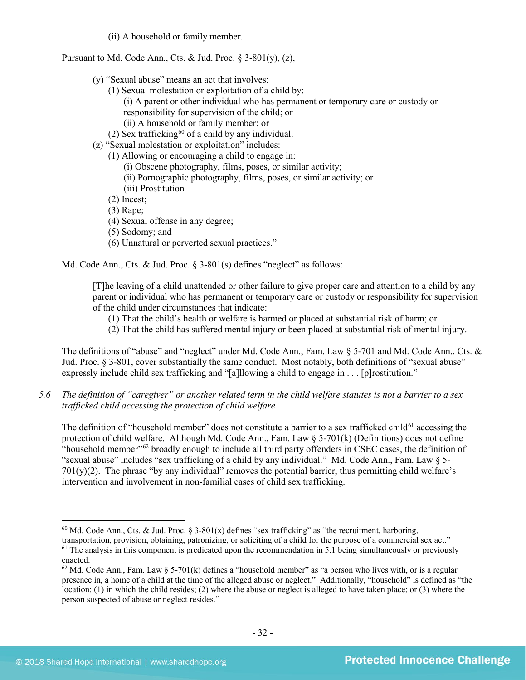(ii) A household or family member.

Pursuant to Md. Code Ann., Cts. & Jud. Proc.  $\S$  3-801(y), (z),

- (y) "Sexual abuse" means an act that involves:
	- (1) Sexual molestation or exploitation of a child by:
		- (i) A parent or other individual who has permanent or temporary care or custody or

responsibility for supervision of the child; or

(ii) A household or family member; or

- (2) Sex trafficking<sup>[60](#page-31-0)</sup> of a child by any individual.
- (z) "Sexual molestation or exploitation" includes:
	- (1) Allowing or encouraging a child to engage in:
		- (i) Obscene photography, films, poses, or similar activity;
		- (ii) Pornographic photography, films, poses, or similar activity; or (iii) Prostitution
	- (2) Incest;
	- (3) Rape;
	- (4) Sexual offense in any degree;
	- (5) Sodomy; and
	- (6) Unnatural or perverted sexual practices."

Md. Code Ann., Cts. & Jud. Proc. § 3-801(s) defines "neglect" as follows:

[T]he leaving of a child unattended or other failure to give proper care and attention to a child by any parent or individual who has permanent or temporary care or custody or responsibility for supervision of the child under circumstances that indicate:

- (1) That the child's health or welfare is harmed or placed at substantial risk of harm; or
- (2) That the child has suffered mental injury or been placed at substantial risk of mental injury.

The definitions of "abuse" and "neglect" under Md. Code Ann., Fam. Law  $\S$  5-701 and Md. Code Ann., Cts. & Jud. Proc. § 3-801, cover substantially the same conduct. Most notably, both definitions of "sexual abuse" expressly include child sex trafficking and "[a]llowing a child to engage in . . . [p]rostitution."

*5.6 The definition of "caregiver" or another related term in the child welfare statutes is not a barrier to a sex trafficked child accessing the protection of child welfare.*

The definition of "household member" does not constitute a barrier to a sex trafficked child<sup>[61](#page-31-1)</sup> accessing the protection of child welfare. Although Md. Code Ann., Fam. Law § 5-701(k) (Definitions) does not define "household member"<sup>[62](#page-31-2)</sup> broadly enough to include all third party offenders in CSEC cases, the definition of "sexual abuse" includes "sex trafficking of a child by any individual." Md. Code Ann., Fam. Law § 5-  $701(y)(2)$ . The phrase "by any individual" removes the potential barrier, thus permitting child welfare's intervention and involvement in non-familial cases of child sex trafficking.

<span id="page-31-0"></span> $\overline{\phantom{a}}$ <sup>60</sup> Md. Code Ann., Cts. & Jud. Proc. § 3-801(x) defines "sex trafficking" as "the recruitment, harboring, transportation, provision, obtaining, patronizing, or soliciting of a child for the purpose of a commercial sex act."  $<sup>61</sup>$  The analysis in this component is predicated upon the recommendation in 5.1 being simultaneously or previously</sup> enacted.

<span id="page-31-2"></span><span id="page-31-1"></span> $62$  Md. Code Ann., Fam. Law  $\S$  5-701(k) defines a "household member" as "a person who lives with, or is a regular presence in, a home of a child at the time of the alleged abuse or neglect." Additionally, "household" is defined as "the location: (1) in which the child resides; (2) where the abuse or neglect is alleged to have taken place; or (3) where the person suspected of abuse or neglect resides."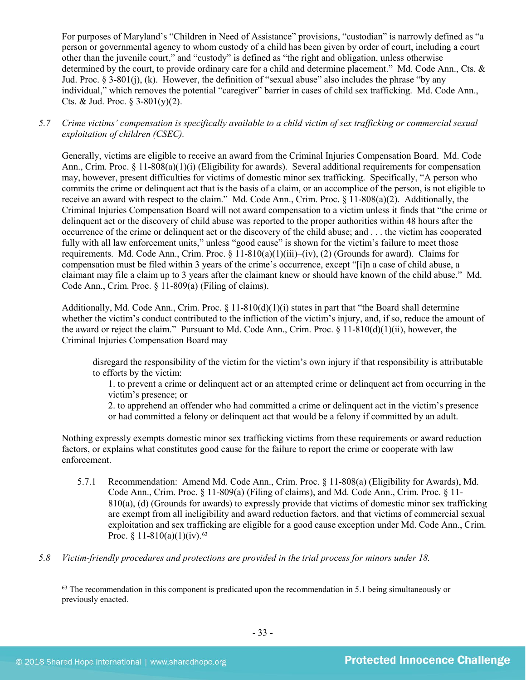For purposes of Maryland's "Children in Need of Assistance" provisions, "custodian" is narrowly defined as "a person or governmental agency to whom custody of a child has been given by order of court, including a court other than the juvenile court," and "custody" is defined as "the right and obligation, unless otherwise determined by the court, to provide ordinary care for a child and determine placement." Md. Code Ann., Cts. & Jud. Proc. § 3-801(j), (k). However, the definition of "sexual abuse" also includes the phrase "by any individual," which removes the potential "caregiver" barrier in cases of child sex trafficking. Md. Code Ann., Cts. & Jud. Proc.  $\frac{2}{3} - \frac{801(y)}{2}$ .

*5.7 Crime victims' compensation is specifically available to a child victim of sex trafficking or commercial sexual exploitation of children (CSEC).*

Generally, victims are eligible to receive an award from the Criminal Injuries Compensation Board. Md. Code Ann., Crim. Proc. § 11-808(a)(1)(i) (Eligibility for awards). Several additional requirements for compensation may, however, present difficulties for victims of domestic minor sex trafficking. Specifically, "A person who commits the crime or delinquent act that is the basis of a claim, or an accomplice of the person, is not eligible to receive an award with respect to the claim." Md. Code Ann., Crim. Proc. § 11-808(a)(2). Additionally, the Criminal Injuries Compensation Board will not award compensation to a victim unless it finds that "the crime or delinquent act or the discovery of child abuse was reported to the proper authorities within 48 hours after the occurrence of the crime or delinquent act or the discovery of the child abuse; and . . . the victim has cooperated fully with all law enforcement units," unless "good cause" is shown for the victim's failure to meet those requirements. Md. Code Ann., Crim. Proc. § 11-810(a)(1)(iii)–(iv), (2) (Grounds for award). Claims for compensation must be filed within 3 years of the crime's occurrence, except "[i]n a case of child abuse, a claimant may file a claim up to 3 years after the claimant knew or should have known of the child abuse." Md. Code Ann., Crim. Proc. § 11-809(a) (Filing of claims).

Additionally, Md. Code Ann., Crim. Proc. § 11-810(d)(1)(i) states in part that "the Board shall determine whether the victim's conduct contributed to the infliction of the victim's injury, and, if so, reduce the amount of the award or reject the claim." Pursuant to Md. Code Ann., Crim. Proc. § 11-810(d)(1)(ii), however, the Criminal Injuries Compensation Board may

disregard the responsibility of the victim for the victim's own injury if that responsibility is attributable to efforts by the victim:

1. to prevent a crime or delinquent act or an attempted crime or delinquent act from occurring in the victim's presence; or

2. to apprehend an offender who had committed a crime or delinquent act in the victim's presence or had committed a felony or delinquent act that would be a felony if committed by an adult.

Nothing expressly exempts domestic minor sex trafficking victims from these requirements or award reduction factors, or explains what constitutes good cause for the failure to report the crime or cooperate with law enforcement.

- 5.7.1 Recommendation: Amend Md. Code Ann., Crim. Proc. § 11-808(a) (Eligibility for Awards), Md. Code Ann., Crim. Proc. § 11-809(a) (Filing of claims), and Md. Code Ann., Crim. Proc. § 11- 810(a), (d) (Grounds for awards) to expressly provide that victims of domestic minor sex trafficking are exempt from all ineligibility and award reduction factors, and that victims of commercial sexual exploitation and sex trafficking are eligible for a good cause exception under Md. Code Ann., Crim. Proc. § 11-810(a)(1)(iv).<sup>[63](#page-32-0)</sup>
- <span id="page-32-0"></span>*5.8 Victim-friendly procedures and protections are provided in the trial process for minors under 18.*

 $63$  The recommendation in this component is predicated upon the recommendation in 5.1 being simultaneously or previously enacted.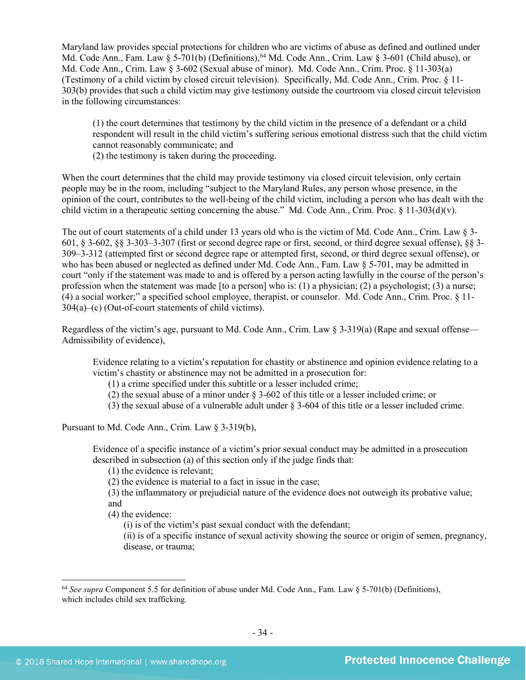Maryland law provides special protections for children who are victims of abuse as defined and outlined under Md. Code Ann., Fam. Law § 5-701(b) (Definitions),<sup>[64](#page-33-0)</sup> Md. Code Ann., Crim. Law § 3-601 (Child abuse), or Md. Code Ann., Crim. Law § 3-602 (Sexual abuse of minor). Md. Code Ann., Crim. Proc. § 11-303(a) (Testimony of a child victim by closed circuit television). Specifically, Md. Code Ann., Crim. Proc. § 11- 303(b) provides that such a child victim may give testimony outside the courtroom via closed circuit television in the following circumstances:

(1) the court determines that testimony by the child victim in the presence of a defendant or a child respondent will result in the child victim's suffering serious emotional distress such that the child victim cannot reasonably communicate; and

(2) the testimony is taken during the proceeding.

When the court determines that the child may provide testimony via closed circuit television, only certain people may be in the room, including "subject to the Maryland Rules, any person whose presence, in the opinion of the court, contributes to the well-being of the child victim, including a person who has dealt with the child victim in a therapeutic setting concerning the abuse." Md. Code Ann., Crim. Proc. § 11-303(d)(v).

The out of court statements of a child under 13 years old who is the victim of Md. Code Ann., Crim. Law § 3- 601, § 3-602, §§ 3-303–3-307 (first or second degree rape or first, second, or third degree sexual offense), §§ 3- 309–3-312 (attempted first or second degree rape or attempted first, second, or third degree sexual offense), or who has been abused or neglected as defined under Md. Code Ann., Fam. Law § 5-701, may be admitted in court "only if the statement was made to and is offered by a person acting lawfully in the course of the person's profession when the statement was made [to a person] who is: (1) a physician; (2) a psychologist; (3) a nurse; (4) a social worker;" a specified school employee, therapist, or counselor. Md. Code Ann., Crim. Proc. § 11- 304(a)–(c) (Out-of-court statements of child victims).

Regardless of the victim's age, pursuant to Md. Code Ann., Crim. Law  $\S$  3-319(a) (Rape and sexual offense— Admissibility of evidence),

Evidence relating to a victim's reputation for chastity or abstinence and opinion evidence relating to a victim's chastity or abstinence may not be admitted in a prosecution for:

(1) a crime specified under this subtitle or a lesser included crime;

(2) the sexual abuse of a minor under § 3-602 of this title or a lesser included crime; or

(3) the sexual abuse of a vulnerable adult under § 3-604 of this title or a lesser included crime.

Pursuant to Md. Code Ann., Crim. Law § 3-319(b),

Evidence of a specific instance of a victim's prior sexual conduct may be admitted in a prosecution described in subsection (a) of this section only if the judge finds that:

(1) the evidence is relevant;

(2) the evidence is material to a fact in issue in the case;

(3) the inflammatory or prejudicial nature of the evidence does not outweigh its probative value; and

(4) the evidence:

(i) is of the victim's past sexual conduct with the defendant;

(ii) is of a specific instance of sexual activity showing the source or origin of semen, pregnancy, disease, or trauma;

<span id="page-33-0"></span><sup>64</sup> *See supra* Component 5.5 for definition of abuse under Md. Code Ann., Fam. Law § 5-701(b) (Definitions), which includes child sex trafficking.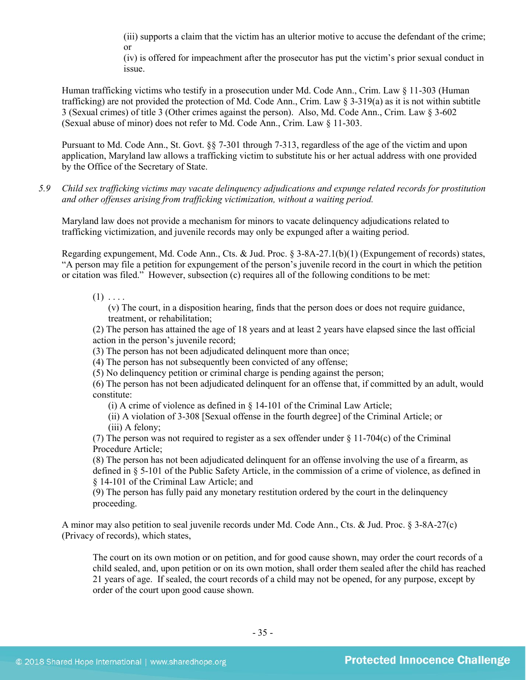(iii) supports a claim that the victim has an ulterior motive to accuse the defendant of the crime; or

(iv) is offered for impeachment after the prosecutor has put the victim's prior sexual conduct in issue.

Human trafficking victims who testify in a prosecution under Md. Code Ann., Crim. Law § 11-303 (Human trafficking) are not provided the protection of Md. Code Ann., Crim. Law § 3-319(a) as it is not within subtitle 3 (Sexual crimes) of title 3 (Other crimes against the person). Also, Md. Code Ann., Crim. Law § 3-602 (Sexual abuse of minor) does not refer to Md. Code Ann., Crim. Law § 11-303.

Pursuant to Md. Code Ann., St. Govt. §§ 7-301 through 7-313, regardless of the age of the victim and upon application, Maryland law allows a trafficking victim to substitute his or her actual address with one provided by the Office of the Secretary of State.

*5.9 Child sex trafficking victims may vacate delinquency adjudications and expunge related records for prostitution and other offenses arising from trafficking victimization, without a waiting period.*

Maryland law does not provide a mechanism for minors to vacate delinquency adjudications related to trafficking victimization, and juvenile records may only be expunged after a waiting period.

Regarding expungement, Md. Code Ann., Cts. & Jud. Proc. § 3-8A-27.1(b)(1) (Expungement of records) states, "A person may file a petition for expungement of the person's juvenile record in the court in which the petition or citation was filed." However, subsection (c) requires all of the following conditions to be met:

 $(1)$  . . . .

(v) The court, in a disposition hearing, finds that the person does or does not require guidance, treatment, or rehabilitation;

(2) The person has attained the age of 18 years and at least 2 years have elapsed since the last official action in the person's juvenile record;

(3) The person has not been adjudicated delinquent more than once;

(4) The person has not subsequently been convicted of any offense;

(5) No delinquency petition or criminal charge is pending against the person;

(6) The person has not been adjudicated delinquent for an offense that, if committed by an adult, would constitute:

(i) A crime of violence as defined in  $\S$  14-101 of the Criminal Law Article;

(ii) A violation of 3-308 [Sexual offense in the fourth degree] of the Criminal Article; or (iii) A felony;

(7) The person was not required to register as a sex offender under § 11-704(c) of the Criminal Procedure Article;

(8) The person has not been adjudicated delinquent for an offense involving the use of a firearm, as defined in § 5-101 of the Public Safety Article, in the commission of a crime of violence, as defined in § 14-101 of the Criminal Law Article; and

(9) The person has fully paid any monetary restitution ordered by the court in the delinquency proceeding.

A minor may also petition to seal juvenile records under Md. Code Ann., Cts. & Jud. Proc. § 3-8A-27(c) (Privacy of records), which states,

The court on its own motion or on petition, and for good cause shown, may order the court records of a child sealed, and, upon petition or on its own motion, shall order them sealed after the child has reached 21 years of age. If sealed, the court records of a child may not be opened, for any purpose, except by order of the court upon good cause shown.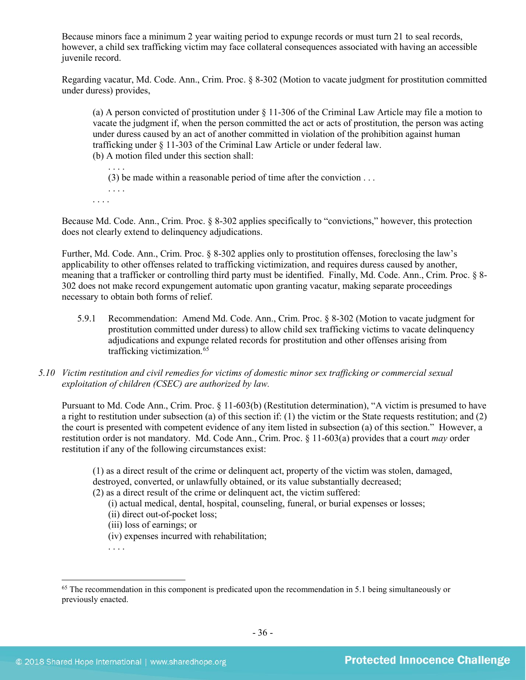Because minors face a minimum 2 year waiting period to expunge records or must turn 21 to seal records, however, a child sex trafficking victim may face collateral consequences associated with having an accessible juvenile record.

Regarding vacatur, Md. Code. Ann., Crim. Proc. § 8-302 (Motion to vacate judgment for prostitution committed under duress) provides,

(a) A person convicted of prostitution under § 11-306 of the Criminal Law Article may file a motion to vacate the judgment if, when the person committed the act or acts of prostitution, the person was acting under duress caused by an act of another committed in violation of the prohibition against human trafficking under § 11-303 of the Criminal Law Article or under federal law. (b) A motion filed under this section shall:

. . . . (3) be made within a reasonable period of time after the conviction . . .

. . . . . . . .

Because Md. Code. Ann., Crim. Proc. § 8-302 applies specifically to "convictions," however, this protection does not clearly extend to delinquency adjudications.

Further, Md. Code. Ann., Crim. Proc. § 8-302 applies only to prostitution offenses, foreclosing the law's applicability to other offenses related to trafficking victimization, and requires duress caused by another, meaning that a trafficker or controlling third party must be identified. Finally, Md. Code. Ann., Crim. Proc. § 8- 302 does not make record expungement automatic upon granting vacatur, making separate proceedings necessary to obtain both forms of relief.

- 5.9.1 Recommendation: Amend Md. Code. Ann., Crim. Proc. § 8-302 (Motion to vacate judgment for prostitution committed under duress) to allow child sex trafficking victims to vacate delinquency adjudications and expunge related records for prostitution and other offenses arising from trafficking victimization. [65](#page-35-0)
- *5.10 Victim restitution and civil remedies for victims of domestic minor sex trafficking or commercial sexual exploitation of children (CSEC) are authorized by law.*

Pursuant to Md. Code Ann., Crim. Proc. § 11-603(b) (Restitution determination), "A victim is presumed to have a right to restitution under subsection (a) of this section if: (1) the victim or the State requests restitution; and (2) the court is presented with competent evidence of any item listed in subsection (a) of this section." However, a restitution order is not mandatory. Md. Code Ann., Crim. Proc. § 11-603(a) provides that a court *may* order restitution if any of the following circumstances exist:

(1) as a direct result of the crime or delinquent act, property of the victim was stolen, damaged, destroyed, converted, or unlawfully obtained, or its value substantially decreased;

(2) as a direct result of the crime or delinquent act, the victim suffered:

(i) actual medical, dental, hospital, counseling, funeral, or burial expenses or losses;

- (ii) direct out-of-pocket loss;
- (iii) loss of earnings; or

(iv) expenses incurred with rehabilitation;

. . . .

<span id="page-35-0"></span><sup>&</sup>lt;sup>65</sup> The recommendation in this component is predicated upon the recommendation in 5.1 being simultaneously or previously enacted.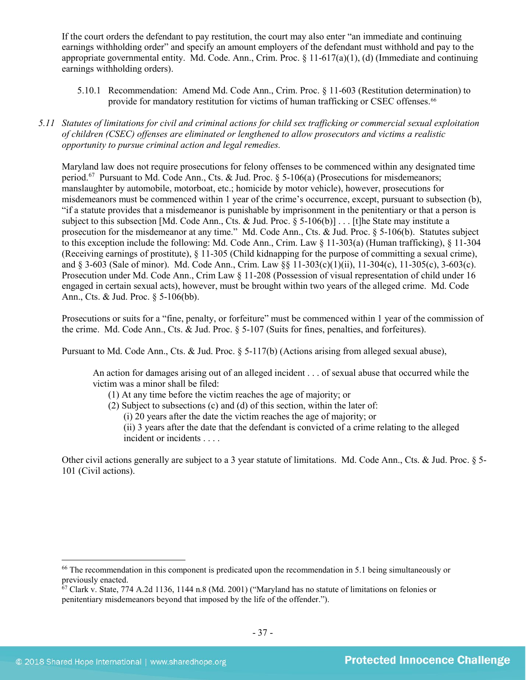If the court orders the defendant to pay restitution, the court may also enter "an immediate and continuing earnings withholding order" and specify an amount employers of the defendant must withhold and pay to the appropriate governmental entity. Md. Code. Ann., Crim. Proc.  $\S 11-617(a)(1)$ , (d) (Immediate and continuing earnings withholding orders).

- 5.10.1 Recommendation: Amend Md. Code Ann., Crim. Proc. § 11-603 (Restitution determination) to provide for mandatory restitution for victims of human trafficking or CSEC offenses.[66](#page-36-0)
- *5.11 Statutes of limitations for civil and criminal actions for child sex trafficking or commercial sexual exploitation of children (CSEC) offenses are eliminated or lengthened to allow prosecutors and victims a realistic opportunity to pursue criminal action and legal remedies.*

Maryland law does not require prosecutions for felony offenses to be commenced within any designated time period.<sup>[67](#page-36-1)</sup> Pursuant to Md. Code Ann., Cts. & Jud. Proc. § 5-106(a) (Prosecutions for misdemeanors; manslaughter by automobile, motorboat, etc.; homicide by motor vehicle), however, prosecutions for misdemeanors must be commenced within 1 year of the crime's occurrence, except, pursuant to subsection (b), "if a statute provides that a misdemeanor is punishable by imprisonment in the penitentiary or that a person is subject to this subsection [Md. Code Ann., Cts. & Jud. Proc. § 5-106(b)] . . . [t]he State may institute a prosecution for the misdemeanor at any time." Md. Code Ann., Cts. & Jud. Proc. § 5-106(b). Statutes subject to this exception include the following: Md. Code Ann., Crim. Law § 11-303(a) (Human trafficking), § 11-304 (Receiving earnings of prostitute), § 11-305 (Child kidnapping for the purpose of committing a sexual crime), and § 3-603 (Sale of minor). Md. Code Ann., Crim. Law §§ 11-303(c)(1)(ii), 11-304(c), 11-305(c), 3-603(c). Prosecution under Md. Code Ann., Crim Law § 11-208 (Possession of visual representation of child under 16 engaged in certain sexual acts), however, must be brought within two years of the alleged crime. Md. Code Ann., Cts. & Jud. Proc. § 5-106(bb).

Prosecutions or suits for a "fine, penalty, or forfeiture" must be commenced within 1 year of the commission of the crime. Md. Code Ann., Cts. & Jud. Proc. § 5-107 (Suits for fines, penalties, and forfeitures).

Pursuant to Md. Code Ann., Cts. & Jud. Proc. § 5-117(b) (Actions arising from alleged sexual abuse),

An action for damages arising out of an alleged incident . . . of sexual abuse that occurred while the victim was a minor shall be filed:

- (1) At any time before the victim reaches the age of majority; or
- (2) Subject to subsections (c) and (d) of this section, within the later of:
	- (i) 20 years after the date the victim reaches the age of majority; or
	- (ii) 3 years after the date that the defendant is convicted of a crime relating to the alleged incident or incidents . . . .

Other civil actions generally are subject to a 3 year statute of limitations. Md. Code Ann., Cts. & Jud. Proc. § 5- 101 (Civil actions).

<span id="page-36-0"></span><sup>&</sup>lt;sup>66</sup> The recommendation in this component is predicated upon the recommendation in 5.1 being simultaneously or previously enacted.

<span id="page-36-1"></span> $67$  Clark v. State, 774 A.2d 1136, 1144 n.8 (Md. 2001) ("Maryland has no statute of limitations on felonies or penitentiary misdemeanors beyond that imposed by the life of the offender.").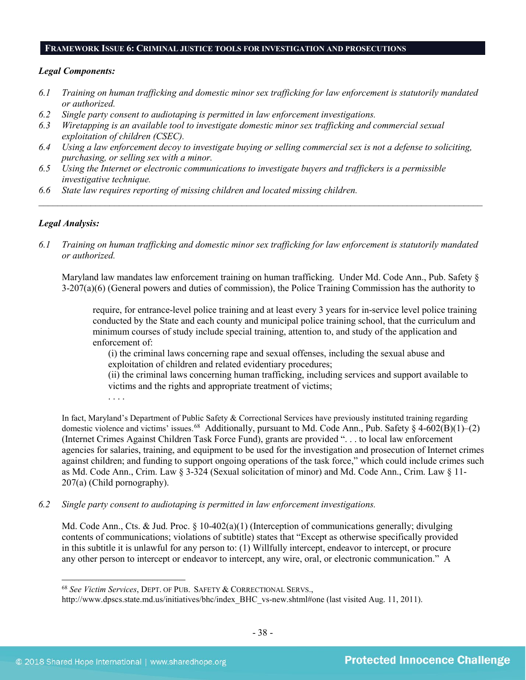#### **FRAMEWORK ISSUE 6: CRIMINAL JUSTICE TOOLS FOR INVESTIGATION AND PROSECUTIONS**

#### *Legal Components:*

- *6.1 Training on human trafficking and domestic minor sex trafficking for law enforcement is statutorily mandated or authorized.*
- *6.2 Single party consent to audiotaping is permitted in law enforcement investigations.*
- *6.3 Wiretapping is an available tool to investigate domestic minor sex trafficking and commercial sexual exploitation of children (CSEC).*
- *6.4 Using a law enforcement decoy to investigate buying or selling commercial sex is not a defense to soliciting, purchasing, or selling sex with a minor.*
- *6.5 Using the Internet or electronic communications to investigate buyers and traffickers is a permissible investigative technique.*
- *6.6 State law requires reporting of missing children and located missing children.*

#### *Legal Analysis:*

*6.1 Training on human trafficking and domestic minor sex trafficking for law enforcement is statutorily mandated or authorized.*

*\_\_\_\_\_\_\_\_\_\_\_\_\_\_\_\_\_\_\_\_\_\_\_\_\_\_\_\_\_\_\_\_\_\_\_\_\_\_\_\_\_\_\_\_\_\_\_\_\_\_\_\_\_\_\_\_\_\_\_\_\_\_\_\_\_\_\_\_\_\_\_\_\_\_\_\_\_\_\_\_\_\_\_\_\_\_\_\_\_\_\_\_\_\_*

Maryland law mandates law enforcement training on human trafficking. Under Md. Code Ann., Pub. Safety § 3-207(a)(6) (General powers and duties of commission), the Police Training Commission has the authority to

require, for entrance-level police training and at least every 3 years for in-service level police training conducted by the State and each county and municipal police training school, that the curriculum and minimum courses of study include special training, attention to, and study of the application and enforcement of:

(i) the criminal laws concerning rape and sexual offenses, including the sexual abuse and exploitation of children and related evidentiary procedures;

(ii) the criminal laws concerning human trafficking, including services and support available to victims and the rights and appropriate treatment of victims;

. . . .

In fact, Maryland's Department of Public Safety & Correctional Services have previously instituted training regarding domestic violence and victims' issues.<sup>[68](#page-37-0)</sup> Additionally, pursuant to Md. Code Ann., Pub. Safety § 4-602(B)(1)–(2) (Internet Crimes Against Children Task Force Fund), grants are provided ". . . to local law enforcement agencies for salaries, training, and equipment to be used for the investigation and prosecution of Internet crimes against children; and funding to support ongoing operations of the task force," which could include crimes such as Md. Code Ann., Crim. Law § 3-324 (Sexual solicitation of minor) and Md. Code Ann., Crim. Law § 11- 207(a) (Child pornography).

*6.2 Single party consent to audiotaping is permitted in law enforcement investigations.*

Md. Code Ann., Cts. & Jud. Proc.  $\S$  10-402(a)(1) (Interception of communications generally; divulging contents of communications; violations of subtitle) states that "Except as otherwise specifically provided in this subtitle it is unlawful for any person to: (1) Willfully intercept, endeavor to intercept, or procure any other person to intercept or endeavor to intercept, any wire, oral, or electronic communication." A

<span id="page-37-0"></span><sup>68</sup> *See Victim Services*, DEPT. OF PUB. SAFETY & CORRECTIONAL SERVS.,

http://www.dpscs.state.md.us/initiatives/bhc/index\_BHC\_vs-new.shtml#one (last visited Aug. 11, 2011).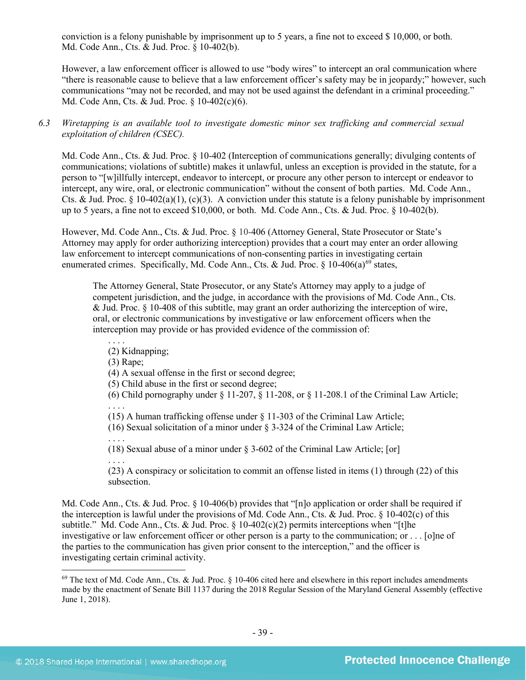conviction is a felony punishable by imprisonment up to 5 years, a fine not to exceed \$ 10,000, or both. Md. Code Ann., Cts. & Jud. Proc. § 10-402(b).

However, a law enforcement officer is allowed to use "body wires" to intercept an oral communication where "there is reasonable cause to believe that a law enforcement officer's safety may be in jeopardy;" however, such communications "may not be recorded, and may not be used against the defendant in a criminal proceeding." Md. Code Ann, Cts. & Jud. Proc. § 10-402(c)(6).

*6.3 Wiretapping is an available tool to investigate domestic minor sex trafficking and commercial sexual exploitation of children (CSEC).* 

Md. Code Ann., Cts. & Jud. Proc. § 10-402 (Interception of communications generally; divulging contents of communications; violations of subtitle) makes it unlawful, unless an exception is provided in the statute, for a person to "[w]illfully intercept, endeavor to intercept, or procure any other person to intercept or endeavor to intercept, any wire, oral, or electronic communication" without the consent of both parties. Md. Code Ann., Cts. & Jud. Proc. § 10-402(a)(1), (c)(3). A conviction under this statute is a felony punishable by imprisonment up to 5 years, a fine not to exceed \$10,000, or both. Md. Code Ann., Cts. & Jud. Proc. § 10-402(b).

However, Md. Code Ann., Cts. & Jud. Proc. § 10-406 (Attorney General, State Prosecutor or State's Attorney may apply for order authorizing interception) provides that a court may enter an order allowing law enforcement to intercept communications of non-consenting parties in investigating certain enumerated crimes. Specifically, Md. Code Ann., Cts. & Jud. Proc.  $\S$  10-406(a)<sup>[69](#page-38-0)</sup> states,

The Attorney General, State Prosecutor, or any State's Attorney may apply to a judge of competent jurisdiction, and the judge, in accordance with the provisions of Md. Code Ann., Cts. & Jud. Proc. § 10-408 of this subtitle, may grant an order authorizing the interception of wire, oral, or electronic communications by investigative or law enforcement officers when the interception may provide or has provided evidence of the commission of:

(2) Kidnapping;

(3) Rape;

. . . .

(4) A sexual offense in the first or second degree;

(5) Child abuse in the first or second degree;

(6) Child pornography under  $\S$  11-207,  $\S$  11-208, or  $\S$  11-208.1 of the Criminal Law Article;

. . . . (15) A human trafficking offense under § 11-303 of the Criminal Law Article;

(16) Sexual solicitation of a minor under § 3-324 of the Criminal Law Article;

. . . . (18) Sexual abuse of a minor under § 3-602 of the Criminal Law Article; [or]

. . . . (23) A conspiracy or solicitation to commit an offense listed in items (1) through (22) of this subsection.

Md. Code Ann., Cts. & Jud. Proc. § 10-406(b) provides that "[n]o application or order shall be required if the interception is lawful under the provisions of Md. Code Ann., Cts. & Jud. Proc.  $\S$  10-402(c) of this subtitle." Md. Code Ann., Cts. & Jud. Proc.  $\S$  10-402(c)(2) permits interceptions when "[t]he investigative or law enforcement officer or other person is a party to the communication; or . . . [o]ne of the parties to the communication has given prior consent to the interception," and the officer is investigating certain criminal activity.

<span id="page-38-0"></span> $69$  The text of Md. Code Ann., Cts. & Jud. Proc. § 10-406 cited here and elsewhere in this report includes amendments made by the enactment of Senate Bill 1137 during the 2018 Regular Session of the Maryland General Assembly (effective June 1, 2018).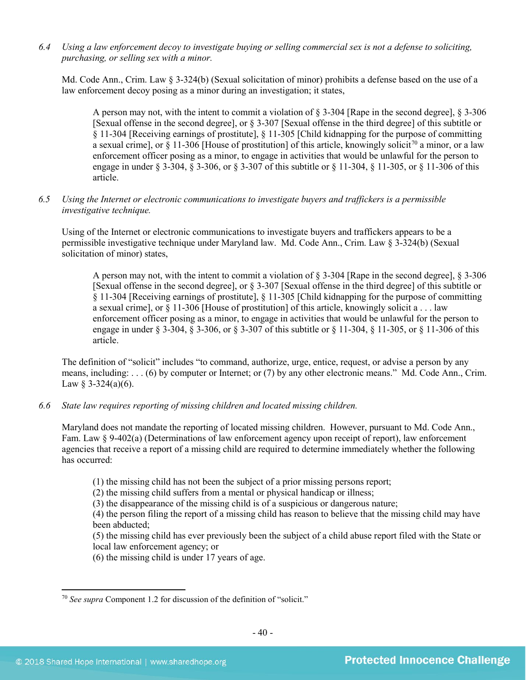*6.4 Using a law enforcement decoy to investigate buying or selling commercial sex is not a defense to soliciting, purchasing, or selling sex with a minor.*

Md. Code Ann., Crim. Law § 3-324(b) (Sexual solicitation of minor) prohibits a defense based on the use of a law enforcement decoy posing as a minor during an investigation; it states,

A person may not, with the intent to commit a violation of § 3-304 [Rape in the second degree], § 3-306 [Sexual offense in the second degree], or § 3-307 [Sexual offense in the third degree] of this subtitle or § 11-304 [Receiving earnings of prostitute], § 11-305 [Child kidnapping for the purpose of committing a sexual crime], or § 11-306 [House of prostitution] of this article, knowingly solicit<sup>[70](#page-39-0)</sup> a minor, or a law enforcement officer posing as a minor, to engage in activities that would be unlawful for the person to engage in under § 3-304, § 3-306, or § 3-307 of this subtitle or § 11-304, § 11-305, or § 11-306 of this article.

*6.5 Using the Internet or electronic communications to investigate buyers and traffickers is a permissible investigative technique.*

Using of the Internet or electronic communications to investigate buyers and traffickers appears to be a permissible investigative technique under Maryland law. Md. Code Ann., Crim. Law § 3-324(b) (Sexual solicitation of minor) states,

A person may not, with the intent to commit a violation of § 3-304 [Rape in the second degree], § 3-306 [Sexual offense in the second degree], or § 3-307 [Sexual offense in the third degree] of this subtitle or § 11-304 [Receiving earnings of prostitute], § 11-305 [Child kidnapping for the purpose of committing a sexual crime], or § 11-306 [House of prostitution] of this article, knowingly solicit a . . . law enforcement officer posing as a minor, to engage in activities that would be unlawful for the person to engage in under § 3-304, § 3-306, or § 3-307 of this subtitle or § 11-304, § 11-305, or § 11-306 of this article.

The definition of "solicit" includes "to command, authorize, urge, entice, request, or advise a person by any means, including: . . . (6) by computer or Internet; or (7) by any other electronic means." Md. Code Ann., Crim. Law  $§$  3-324(a)(6).

*6.6 State law requires reporting of missing children and located missing children.*

Maryland does not mandate the reporting of located missing children. However, pursuant to Md. Code Ann., Fam. Law § 9-402(a) (Determinations of law enforcement agency upon receipt of report), law enforcement agencies that receive a report of a missing child are required to determine immediately whether the following has occurred:

(1) the missing child has not been the subject of a prior missing persons report;

(2) the missing child suffers from a mental or physical handicap or illness;

(3) the disappearance of the missing child is of a suspicious or dangerous nature;

(4) the person filing the report of a missing child has reason to believe that the missing child may have been abducted;

(5) the missing child has ever previously been the subject of a child abuse report filed with the State or local law enforcement agency; or

(6) the missing child is under 17 years of age.

<span id="page-39-0"></span><sup>70</sup> *See supra* Component 1.2 for discussion of the definition of "solicit."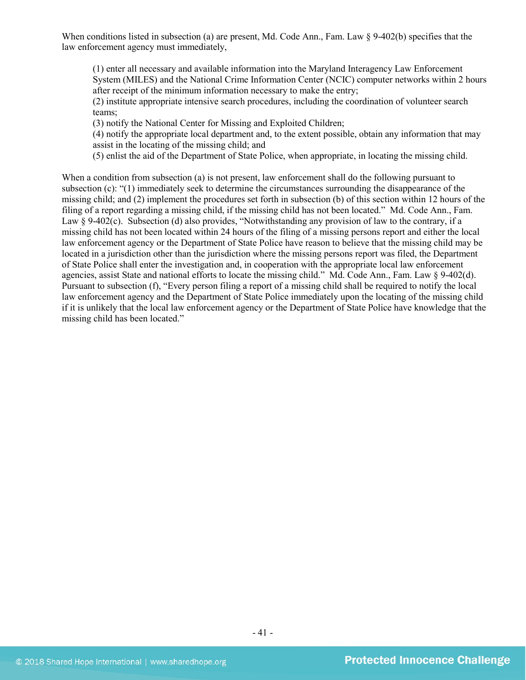When conditions listed in subsection (a) are present, Md. Code Ann., Fam. Law  $\S$  9-402(b) specifies that the law enforcement agency must immediately,

(1) enter all necessary and available information into the Maryland Interagency Law Enforcement System (MILES) and the National Crime Information Center (NCIC) computer networks within 2 hours after receipt of the minimum information necessary to make the entry;

(2) institute appropriate intensive search procedures, including the coordination of volunteer search teams;

(3) notify the National Center for Missing and Exploited Children;

(4) notify the appropriate local department and, to the extent possible, obtain any information that may assist in the locating of the missing child; and

(5) enlist the aid of the Department of State Police, when appropriate, in locating the missing child.

When a condition from subsection (a) is not present, law enforcement shall do the following pursuant to subsection (c): "(1) immediately seek to determine the circumstances surrounding the disappearance of the missing child; and (2) implement the procedures set forth in subsection (b) of this section within 12 hours of the filing of a report regarding a missing child, if the missing child has not been located." Md. Code Ann., Fam. Law § 9-402(c). Subsection (d) also provides, "Notwithstanding any provision of law to the contrary, if a missing child has not been located within 24 hours of the filing of a missing persons report and either the local law enforcement agency or the Department of State Police have reason to believe that the missing child may be located in a jurisdiction other than the jurisdiction where the missing persons report was filed, the Department of State Police shall enter the investigation and, in cooperation with the appropriate local law enforcement agencies, assist State and national efforts to locate the missing child." Md. Code Ann., Fam. Law § 9-402(d). Pursuant to subsection (f), "Every person filing a report of a missing child shall be required to notify the local law enforcement agency and the Department of State Police immediately upon the locating of the missing child if it is unlikely that the local law enforcement agency or the Department of State Police have knowledge that the missing child has been located."